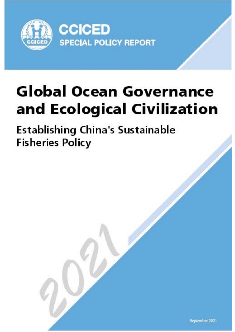

# **Global Ocean Governance** and Ecological Civilization

Establishing China's sustainable fisheries policy

**Special Policy Study on Global Ocean Governance and Ecological Civilization (II)** 

**Establishing China's Sustainable Fisheries Policy** 

September, 2021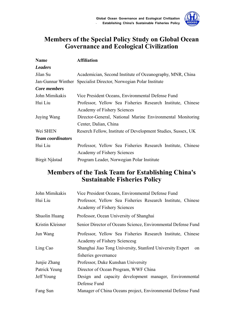

# **Members of the Special Policy Study on Global Ocean Governance and Ecological Civilization**

| <b>Name</b>                                                               | <b>Affiliation</b>                                                |  |  |  |  |
|---------------------------------------------------------------------------|-------------------------------------------------------------------|--|--|--|--|
| <b>Leaders</b>                                                            |                                                                   |  |  |  |  |
| Jilan Su                                                                  | Academician, Second Institute of Oceanography, MNR, China         |  |  |  |  |
|                                                                           | Jan-Gunnar Winther Specialist Director, Norwegian Polar Institute |  |  |  |  |
| Core members                                                              |                                                                   |  |  |  |  |
| John Mimikakis                                                            | Vice President Oceans, Environmental Defense Fund                 |  |  |  |  |
| Hui Liu<br>Professor, Yellow Sea Fisheries Research Institute, Chinese    |                                                                   |  |  |  |  |
|                                                                           | Academy of Fishery Sciences                                       |  |  |  |  |
| Director-General, National Marine Environmental Monitoring<br>Juying Wang |                                                                   |  |  |  |  |
|                                                                           | Center, Dalian, China                                             |  |  |  |  |
| Wei SHEN                                                                  | Reserch Fellow, Institute of Development Studies, Sussex, UK      |  |  |  |  |
| <b>Team coordinators</b>                                                  |                                                                   |  |  |  |  |
| Hui Liu                                                                   | Professor, Yellow Sea Fisheries Research Institute, Chinese       |  |  |  |  |
|                                                                           | Academy of Fishery Sciences                                       |  |  |  |  |
| Birgit Njåstad                                                            | Program Leader, Norwegian Polar Institute                         |  |  |  |  |

# **Members of the Task Team for Establishing China's Sustainable Fisheries Policy**

| John Mimikakis   | Vice President Oceans, Environmental Defense Fund               |  |  |  |
|------------------|-----------------------------------------------------------------|--|--|--|
| Hui Liu          | Professor, Yellow Sea Fisheries Research Institute, Chinese     |  |  |  |
|                  | Academy of Fishery Sciences                                     |  |  |  |
| Shuolin Huang    | Professor, Ocean University of Shanghai                         |  |  |  |
| Kristin Kleisner | Senior Director of Oceans Science, Environmental Defense Fund   |  |  |  |
| Jun Wang         | Professor, Yellow Sea Fisheries Research Institute, Chinese     |  |  |  |
|                  | Academy of Fishery Sciencesg                                    |  |  |  |
| Ling Cao         | Shanghai Jiao Tong University, Stanford University Expert<br>on |  |  |  |
|                  | fisheries governance                                            |  |  |  |
| Junjie Zhang     | Professor, Duke Kunshan University                              |  |  |  |
| Patrick Yeung    | Director of Ocean Program, WWF China                            |  |  |  |
| Jeff Young       | Design and capacity development manager, Environmental          |  |  |  |
|                  | Defense Fund                                                    |  |  |  |
| Fang Sun         | Manager of China Oceans project, Environmental Defense Fund     |  |  |  |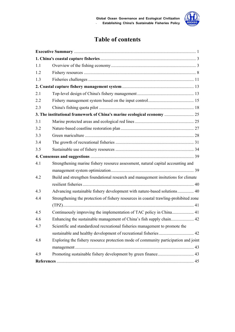

# **Table of contents**

| 1.1 |                                                                                       |  |
|-----|---------------------------------------------------------------------------------------|--|
| 1.2 |                                                                                       |  |
| 1.3 |                                                                                       |  |
|     |                                                                                       |  |
| 2.1 |                                                                                       |  |
| 2.2 |                                                                                       |  |
| 2.3 |                                                                                       |  |
|     | 3. The institutional framework of China's marine ecological economy  25               |  |
| 3.1 |                                                                                       |  |
| 3.2 |                                                                                       |  |
| 3.3 |                                                                                       |  |
| 3.4 |                                                                                       |  |
| 3.5 |                                                                                       |  |
|     |                                                                                       |  |
| 4.1 | Strengthening marine fishery resource assessment, natural capital accounting and      |  |
|     |                                                                                       |  |
| 4.2 | Build and strengthen foundational research and management insitutions for climate     |  |
|     |                                                                                       |  |
| 4.3 | Advancing sustainable fishery development with nature-based solutions 40              |  |
| 4.4 | Strengthening the protection of fishery resources in coastal trawling-prohibited zone |  |
|     |                                                                                       |  |
| 4.5 | Continuously improving the implementation of TAC policy in China 41                   |  |
| 4.6 | Enhancing the sustainable management of China's fish supply chain 42                  |  |
| 4.7 | Scientific and standardized recreational fisheries management to promote the          |  |
|     | sustainable and healthy development of recreational fisheries  42                     |  |
| 4.8 | Exploring the fishery resource protection mode of community participation and joint   |  |
|     |                                                                                       |  |
| 4.9 |                                                                                       |  |
|     |                                                                                       |  |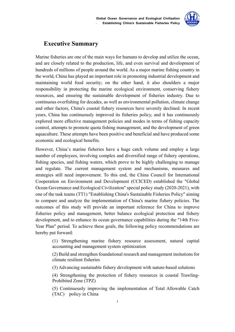

# **Executive Summary**

Marine fisheries are one of the main ways for humans to develop and utilize the ocean, and are closely related to the production, life, and even survival and development of hundreds of millions of people around the world. As a major marine fishing country in the world, China has played an important role in promoting industrial development and maintaining world food security; on the other hand, it also shoulders a major responsibility in protecting the marine ecological environment, conserving fishery resources, and ensuring the sustainable development of fisheries industry. Due to continuous overfishing for decades, as well as environmental pollution, climate change and other factors, China's coastal fishery resources have severely declined. In recent years, China has continuously improved its fisheries policy, and it has continuously explored more effective management policies and modes in terms of fishing capacity control, attempts to promote quota fishing management, and the development of green aquaculture. These attempts have been positive and beneficial and have produced some economic and ecological benefits.

However, China's marine fisheries have a huge catch volume and employ a large number of employees, involving complex and diversified range of fishery operations, fishing species, and fishing waters, which prove to be highly challenging to manage and regulate. The current management system and mechanisms, measures and strategies still need improvement. To this end, the China Council for International Cooperation on Environment and Development (CCICED) established the "Global Ocean Governance and Ecological Civilization" special policy study (2020-2021), with one of the task teams (TT1) "Establishing China's Sustainable Fisheries Policy" aiming to compare and analyze the implementation of China's marine fishery policies. The outcomes of this study will provide an important reference for China to improve fisheries policy and management, better balance ecological protection and fishery development, and to enhance its ocean governance capabilities during the "14th Five-Year Plan" period. To achieve these goals, the following policy recommendations are hereby put forward:

> (1) Strengthening marine fishery resource assessment, natural capital accounting and management system optimization

> (2) Build and strengthen foundational research and management insitutions for climate resilient fisheries

(3) Advancing sustainable fishery development with nature-based solutions

(4) Strengthening the protection of fishery resources in coastal Trawling-Prohibited Zone (TPZ)

(5) Continuously improving the implementation of Total Allowable Catch (TAC) policy in China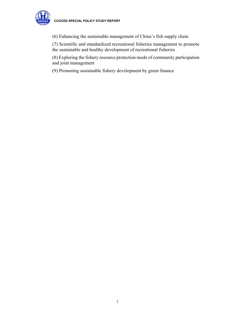

(6) Enhancing the sustainable management of China's fish supply chain

(7) Scientific and standardized recreational fisheries management to promote the sustainable and healthy development of recreational fisheries

(8) Exploring the fishery resource protection mode of community participation and joint management

(9) Promoting sustainable fishery development by green finance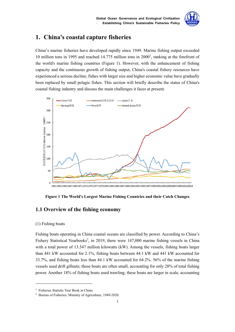

# **1. China's coastal capture fisheries**

China's marine fisheries have developed rapidly since 1949. Marine fishing output exceeded 10 million tons in 1995 and reached 14.775 million tons in  $2000<sup>1</sup>$ , ranking at the forefront of the world's marine fishing countries (Figure 1). However, with the enhancement of fishing capacity and the continuous growth of fishing output, China's coastal fishery resources have experienced a serious decline; fishes with larger size and higher economic value have gradually been replaced by small pelagic fishes. This section will briefly describe the status of China's coastal fishing industry and discuss the main challenges it faces at present.



**Figure 1 The World's Largest Marine Fishing Countries and their Catch Changes** 

# **1.1 Overview of the fishing economy**

#### (1) Fishing boats

1

Fishing boats operating in China coastal oceans are classified by power. According to China's Fishery Statistical Yearbooks<sup>2</sup>, in 2019, there were 147,000 marine fishing vessels in China with a total power of 13.547 million kilowatts (kW). Among the vessels, fishing boats larger than 441 kW accounted for 2.1%, fishing boats between 44.1 kW and 441 kW accounted for 33.7%, and fishing boats less than 44.1 kW accounted for 64.2%. 56% of the marine fishing vessels used drift gillnets; those boats are often small, accounting for only 28% of total fishing power. Another 18% of fishing boats used trawling; these boats are larger in scale, accounting

<sup>&</sup>lt;sup>1</sup> Fisheries Statistic Year Book in China

<sup>2</sup> Bureau of Fisheries, Ministry of Agriculture, 1949-2020.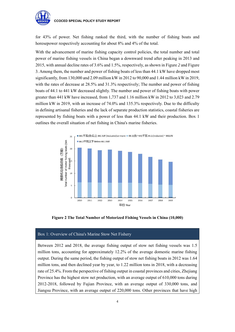

for 43% of power. Net fishing ranked the third, with the number of fishing boats and horesepower respectively accounting for about 8% and 4% of the total.

With the advancement of marine fishing capacity control policies, the total number and total power of marine fishing vessels in China began a downward trend after peaking in 2013 and 2015, with annual decline rates of 3.6% and 1.5%, respectively, as shown in Figure *2* and Figure 3. Among them, the number and power of fishing boats of less than 44.1 kW have dropped most significantly, from 130,000 and 2.09 million kW in 2012 to 90,000 and 1.44 million kW in 2019, with the rates of decrease at 28.5% and 31.3% respectively; The number and power of fishing boats of 44.1 to 441 kW decreased slightly. The number and power of fishing boats with power greater than 441 kW have increased, from 1,737 and 1.16 million kW in 2012 to 3,023 and 2.79 million kW in 2019, with an increase of 74.0% and 135.3% respectively. Due to the difficulty in defining artisanal fisheries and the lack of separate production statistics, coastal fisheries are represented by fishing boats with a power of less than 44.1 kW and their production. Box 1 outlines the overall situation of net fishing in China's marine fisheries.



**Figure 2 The Total Number of Motorized Fishing Vessels in China (10,000)** 

#### Box 1: Overview of China's Marine Stow Net Fishery

Between 2012 and 2018, the average fishing output of stow net fishing vessels was 1.5 million tons, accounting for approximately 12.2% of the average domestic marine fishing output. During the same period, the fishing output of stow net fishing boats in 2012 was 1.64 million tons, and then declined year by year, to 1.22 million tons in 2018, with a decreasing rate of 25.4%. From the perspective of fishing output in coastal provinces and cities, Zhejiang Province has the highest stow net production, with an average output of 610,000 tons during 2012-2018, followed by Fujian Province, with an average output of 330,000 tons, and Jiangsu Province, with an average output of 220,000 tons. Other provinces that have high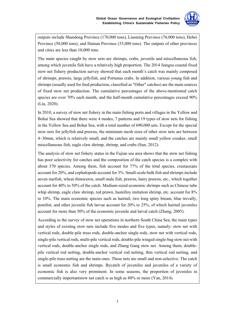

outputs include Shandong Province (170,000 tons), Liaoning Province (76,000 tons), Hebei Province (50,000 tons), and Hainan Province (35,000 tons). The outputs of other provinces and cities are less than 10,000 tons.

The main species caught by stow nets are shrimps, crabs, juvenile and miscellaneous fish, among which juvenile fish have a relatively high proportion. The 2014 Jiangsu coastal fixed stow net fishery production survey showed that each month's catch was mainly composed of shrimps, prawns, large jellyfish, and Portunus crabs. In addition, various young fish and shrimps (usually used for feed production, classified as "Other" catches) are the main sources of fixed stow net production. The cumulative percentages of the above-mentioned catch species are over 70% each month, and the half-month cumulative percentages exceed 90% (Liu, 2020).

In 2010, a survey of stow net fishery in the main fishing ports and villages in the Yellow and Bohai Sea showed that there were 4 modes, 7 patterns and 19 types of stow nets for fishing in the Yellow Sea and Bohai Sea, with a total number of 690,000 sets. Except for the special stow nets for jellyfish and prawns, the minimum mesh sizes of other stow nets are between 4~30mm, which is relatively small, and the catches are mainly small yellow croaker, small miscellaneous fish, eagle claw shrimp, shrimp, and crabs (Sun, 2012).

The analysis of stow net fishery status in the Fujian sea area shows that the stow net fishing has poor selectivity for catches and the composition of the catch species is a complex with about 370 species. Among them, fish account for 77% of the total species, crustaceans account for 20%, and cephalopods account for 3%. Small-scale bulk fish and shrimps include seven starfish, wheat rhinoceros, small male fish, prawns, hairy prawns, etc., which together account for 40% to 50% of the catch. Medium-sized economic shrimps such as Chinese tube whip shrimp, eagle claw shrimp, red prawn, hastelloy imitation shrimp, etc. account for  $8\%$ to 10%. The main economic species such as hairtail, two long spiny bream, blue trevally, pomfret, and other juvenile fish larvae account for 20% to 25%, of which hairtail juveniles account for more than 50% of the economic juvenile and larval catch (Zhang, 2005).

According to the survey of stow net operations in northern South China Sea, the main types and styles of existing stow nets include five modes and five types, namely: stow net with vertical rods, double-pile truss rods, double-anchor single rods, stow net with vertical rods, single-pile vertical rods, multi-pile vertical rods, double-pile winged single-bag stow net with vertical rods, double-anchor single rods, and Zhang Gang stow net. Among them, doublepile vertical rod netting, double-anchor vertical rod netting, thin vertical rod netting, and single-pile truss netting are the main ones. These nets are small and non-selective. The catch is small economic fish and shrimps. Bycatch of juveniles and juveniles of a variety of economic fish is also very prominent. In some seasons, the proportion of juveniles in commercially importantstow net catch is as high as 80% or more (Yan, 2014).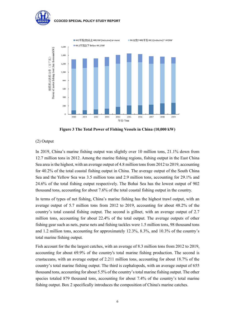

**Figure 3 The Total Power of Fishing Vessels in China (10,000 kW)** 

#### (2) Output

In 2019, China's marine fishing output was slightly over 10 million tons, 21.1% down from 12.7 million tons in 2012. Among the marine fishing regions, fishing output in the East China Sea area is the highest, with an average output of 4.8 million tons from 2012 to 2019, accounting for 40.2% of the total coastal fishing output in China. The average output of the South China Sea and the Yellow Sea was 3.5 million tons and 2.9 million tons, accounting for 29.1% and 24.6% of the total fishing output respectively. The Bohai Sea has the lowest output of 902 thousand tons, accounting for about 7.6% of the total coastal fishing output in the country.

In terms of types of net fishing, China's marine fishing has the highest trawl output, with an average output of 5.7 million tons from 2012 to 2019, accounting for about 48.2% of the country's total coastal fishing output. The second is gillnet, with an average output of 2.7 million tons, accounting for about 22.4% of the total output. The average outputs of other fishing gear such as nets, purse nets and fishing tackles were 1.5 million tons, 98 thousand tons and 1.2 million tons, accounting for approximately 12.3%, 8.3%, and 10.3% of the country's total marine fishing output.

Fish account for the the largest catches, with an average of 8.3 million tons from 2012 to 2019, accounting for about 69.9% of the country's total marine fishing production. The second is crustaceans, with an average output of 2.211 million tons, accounting for about 18.7% of the country's total marine fishing output. The third is cephalopods, with an average output of 655 thousand tons, accounting for about 5.5% of the country's total marine fishing output. The other species totaled 879 thousand tons, accounting for about 7.4% of the country's total marine fishing output. Box 2 specifically introduces the composition of China's marine catches.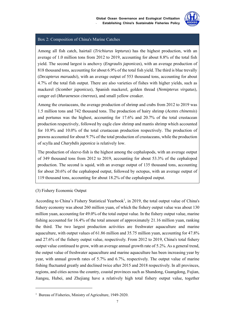

#### Box 2: Composition of China's Marine Catches

Among all fish catch, hairtail (*Trichiurus lepturus*) has the highest production, with an average of 1.0 million tons from 2012 to 2019, accounting for about 8.8% of the total fish yield. The second largest is anchovy (*Engraulis japonicas*), with an average production of 818 thousand tons, accounting for about 6.9% of the total fish yield. The third is blue trevally (*Decapterus maruadsi*), with an average output of 553 thousand tons, accounting for about 4.7% of the total fish output. There are also varieties of fishes with higher yields, such as mackerel (*Scomber japonicus*), Spanish mackerel, golden thread (*Nemipterus virgatus*), conger eel (*Muraenesox cinereus*), and small yellow croaker.

Among the crustaceans, the average production of shrimp and crabs from 2012 to 2019 was 1.5 million tons and 742 thousand tons. The production of hairy shrimp (*Acetes chinensis*) and portunus was the highest, accounting for 17.6% and 20.7% of the total crustacean production respectively, followed by eagle claw shrimp and mantis shrimp which accounted for 10.9% and 10.0% of the total crustacean production respectively. The production of prawns accounted for about 9.7% of the total production of crustaceans, while the production of scylla and *Charybdis japonica* is relatively low.

The production of sleeve-fish is the highest among the cephalopods, with an average output of 349 thousand tons from 2012 to 2019, accounting for about 53.3% of the cephalopod production. The second is squid, with an average output of 135 thousand tons, accounting for about 20.6% of the cephalopod output, followed by octopus, with an average output of 119 thousand tons, accounting for about 18.2% of the cephalopod output.

#### (3) Fishery Economic Output

1

According to China's Fishery Statistical Yearbook<sup>1</sup>, in 2019, the total output value of China's fishery economy was about 260 million yuan, of which the fishery output value was about 130 million yuan, accounting for 49.0% of the total output value. In the fishery output value, marine fishing accounted for 16.4% of the total amount of approximately 21.16 million yuan, ranking the third. The two largest production activities are freshwater aquaculture and marine aquaculture, with output values of 61.86 million and 35.75 million yuan, accounting for 47.8% and 27.6% of the fishery output value, respectively. From 2012 to 2019, China's total fishery output value continued to grow, with an average annual growth rate of 5.2%. As a general trend, the output value of freshwater aquaculture and marine aquaculture has been increasing year by year, with annual growth rates of 5.7% and 6.7%, respectively. The output value of marine fishing fluctuated greatly and declined twice after 2015 and 2018 respectively. In all provinces, regions, and cities across the country, coastal provinces such as Shandong, Guangdong, Fujian, Jiangsu, Hubei, and Zhejiang have a relatively high total fishery output value, together

<sup>&</sup>lt;sup>1</sup> Bureau of Fisheries, Ministry of Agriculture, 1949-2020.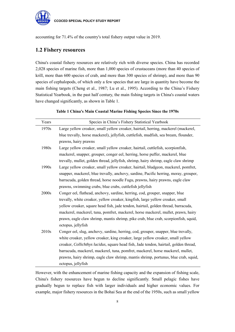

accounting for 71.4% of the country's total fishery output value in 2019.

# **1.2 Fishery resources**

China's coastal fishery resources are relatively rich with diverse species. China has recorded 2,028 species of marine fish, more than 1,000 species of crustaceans (more than 40 species of krill, more than 600 species of crab, and more than 300 species of shrimp), and more than 90 species of cephalopods, of which only a few species that are large in quantity have become the main fishing targets (Cheng et al., 1987; Lu et al., 1995). According to the China's Fishery Statistical Yearbook, in the past half century, the main fishing targets in China's coastal waters have changed significantly, as shown in Table 1.

|  |  |  | Table 1 China's Main Coastal Marine Fishing Species Since the 1970s |  |
|--|--|--|---------------------------------------------------------------------|--|
|  |  |  |                                                                     |  |

| Years | Species in China's Fishery Statistical Yearbook                                       |
|-------|---------------------------------------------------------------------------------------|
| 1970s | Large yellow croaker, small yellow croaker, hairtail, herring, mackerel (mackerel,    |
|       | blue trevally, horse mackerel), jellyfish, cuttlefish, mudfish, sea bream, flounder,  |
|       | prawns, hairy prawns                                                                  |
| 1980s | Large yellow croaker, small yellow croaker, hairtail, cuttlefish, scorpionfish,       |
|       | mackerel, snapper, grouper, conger eel, herring, horse puffer, mackerel, blue         |
|       | trevally, mullet, golden thread, jellyfish, shrimp, hairy shrimp, eagle claw shrimp   |
| 1990s | Large yellow croaker, small yellow croaker, hairtail, bludgeon, mackerel, pomfret,    |
|       | snapper, mackerel, blue trevally, anchovy, sardine, Pacific herring, moray, grouper,  |
|       | barracuda, golden thread, horse noodle Fugu, prawns, hairy prawns, eagle claw         |
|       | prawns, swimming crabs, blue crabs, cuttlefish jellyfish                              |
| 2000s | Conger eel, flathead, anchovy, sardine, herring, cod, grouper, snapper, blue          |
|       | trevally, white croaker, yellow croaker, kingfish, large yellow croaker, small        |
|       | yellow croaker, square head fish, jade tendon, hairtail, golden thread, barracuda,    |
|       | mackerel, mackerel, tuna, pomfret, mackerel, horse mackerel, mullet, prawn, hairy     |
|       | prawn, eagle claw shrimp, mantis shrimp, pike crab, blue crab, scorpionfish, squid,   |
|       | octopus, jellyfish                                                                    |
| 2010s | Conger eel, slug, anchovy, sardine, herring, cod, grouper, snapper, blue trevally,    |
|       | white croaker, yellow croaker, king croaker, large yellow croaker, small yellow       |
|       | croaker, Collichthys lucidus, square head fish, Jade tendon, hairtail, golden thread, |
|       | barracuda, mackerel, mackerel, tuna, pomfret, mackerel, horse mackerel, mullet,       |
|       | prawns, hairy shrimp, eagle claw shrimp, mantis shrimp, portunus, blue crab, squid,   |
|       | octopus, jellyfish                                                                    |

However, with the enhancement of marine fishing capacity and the expansion of fishing scale, China's fishery resources have begun to decline significantly. Small pelagic fishes have gradually begun to replace fish with larger individuals and higher economic values. For example, major fishery resources in the Bohai Sea at the end of the 1950s, such as small yellow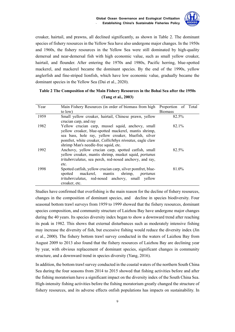

croaker, hairtail, and prawns, all declined significantly, as shown in Table 2. The dominant species of fishery resources in the Yellow Sea have also undergone major changes. In the 1950s and 1960s, the fishery resources in the Yellow Sea were still dominated by high-quality demersal and near-demersal fish with high economic value, such as small yellow croaker, hairtail, and flounder. After entering the 1970s and 1980s, Pacific herring, blue-spotted mackerel, and mackerel became the dominant species. By the end of the 1990s, yellow anglerfish and fine-striped lionfish, which have low economic value, gradually became the dominant species in the Yellow Sea (Dai et al., 2020).

## **Table 2 The Composition of the Main Fishery Resources in the Bohai Sea after the 1950s (Tang et al., 2003)**

| Year | Main Fishery Resources (in order of biomass from high                                                                                                                                                                                                                          | Proportion of Total |
|------|--------------------------------------------------------------------------------------------------------------------------------------------------------------------------------------------------------------------------------------------------------------------------------|---------------------|
|      | to low)                                                                                                                                                                                                                                                                        | <b>Biomass</b>      |
| 1959 | Small yellow croaker, hairtail, Chinese prawn, yellow<br>crucian carp, and ray                                                                                                                                                                                                 | 82.5%               |
| 1982 | Yellow crucian carp, mussel squid, anchovy, small<br>yellow croaker, blue-spotted mackerel, mantis shrimp,<br>sea bass, hole ray, yellow croaker, bluefish, silver<br>pomfret, white croaker, <i>Collichthys niveatus</i> , eagle claw<br>shrimp Man's needle-free squid, etc. | 82.1%               |
| 1992 | Anchovy, yellow crucian carp, spotted catfish, small<br>yellow croaker, mantis shrimp, musket squid, <i>portunus</i><br>trituberculatus, sea perch, red-nosed anchovy, and ray,<br>etc.                                                                                        | 82.5%               |
| 1998 | Spotted catfish, yellow crucian carp, silver pomfret, blue-<br>mackerel, mantis<br>shrimp,<br>spotted<br>portunus<br><i>trituberculatus</i> , red-nosed anchovy, small yellow<br>croaker, etc.                                                                                 | 81.0%               |

Studies have confirmed that overfishing is the main reason for the decline of fishery resources, changes in the composition of dominant species, and decline in species biodiversity. Four seasonal bottom trawl surveys from 1959 to 1999 showed that the fishery resources, dominant species composition, and community structure of Laizhou Bay have undergone major changes during the 40 years. Its species diversity index began to show a downward trend after reaching its peak in 1982. This shows that external disturbances such as moderately intensive fishing may increase the diversity of fish, but excessive fishing would reduce the diversity index (Jin et al., 2000). The fishery bottom trawl survey conducted in the waters of Laizhou Bay from August 2009 to 2013 also found that the fishery resources of Laizhou Bay are declining year by year, with obvious replacement of dominant species, significant changes in community structure, and a downward trend in species diversity (Yang, 2016).

In addition, the bottom trawl survey conducted in the coastal waters of the northern South China Sea during the four seasons from 2014 to 2015 showed that fishing activities before and after the fishing moratorium have a significant impact on the diversity index of the South China Sea. High-intensity fishing activities before the fishing moratorium greatly changed the structure of fishery resources, and its adverse effects onfish populations has impacts on sustainability. In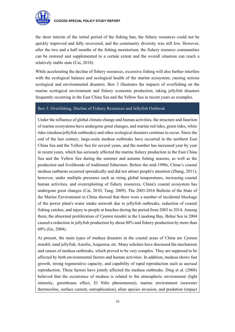

the short interim of the initial period of the fishing ban, the fishery resources could not be quickly improved and fully recovered, and the community diversity was still low. However, after the two and a half months of the fishing moratorium, the fishery resource communities can be restored and supplemented to a certain extent and the overall situation can reach a relatively stable state (Cai, 2018).

While accelerating the decline of fishery resources, excessive fishing will also further interfere with the ecological balance and ecological health of the marine ecosystem, causing serious ecological and environmental disasters. Box 3 illustrates the impacts of overfishing on the marine ecological environment and fishery economic production, taking jellyfish disasters frequently occurring in the East China Sea and the Yellow Sea in recent years as examples.

## Box 3: Overfishing, Decline of Fishery Resources and Jellyfish Outbreak

Under the influence of global climate change and human activities, the structure and function of marine ecosystems have undergone great changes, and marine red tides, green tides, white tides (medusa/jellyfish outbreaks) and other ecological disasters continue to occur. Since the end of the last century, large-scale medusa outbreaks have occurred in the northern East China Sea and the Yellow Sea for several years, and the number has increased year by year in recent years, which has seriously affected the marine fishery production in the East China Sea and the Yellow Sea during the summer and autumn fishing seasons, as well as the production and livelihoods of traditional fishermen. Before the mid-1990s, China's coastal medusa outbursts occurred sporadically and did not attract people's attention (Zhang, 2011); however, under multiple pressures such as rising global temperatures, increasing coastal human activities, and overexploiting of fishery resources, China's coastal ecosystem has undergone great changes (Cai, 2010; Tang, 2009). The 2003-2016 Bulletin of the State of the Marine Environment in China showed that there were a number of incidental blockage of the power plant's water intake network due to jellyfish outbreaks, reduction of coastal fishing catches, and injury to people at beaches during the period from 2003 to 2014. Among them, the abnormal proliferation of *Cyanea nozakii* in the Liaodong Bay, Bohai Sea in 2004 caused a reduction in jellyfish production by about 80% and fishery production by more than 60% (Ge, 2004).

At present, the main types of medusa disasters in the coastal areas of China are *Cyanea nozakii*, sand jellyfish, Aurelia, Aequorea, etc. Many scholars have discussed the mechanism and causes of medusa outbreaks, which proved to be very complex. They are supposed to be affected by both environmental factors and human activities. In addition, medusa shows fast growth, strong regenerative capacity, and capability of rapid reproduction such as asexual reproduction. These factors have jointly affected the medusa outbreaks. Ding et al. (2006) believed that the occurrence of medusa is related to the atmospheric environment (light intensity, greenhouse effect, El Niño phenomenon), marine environment (seawater thermocline, surface current, eutrophication), alien species invasion, and predation (impact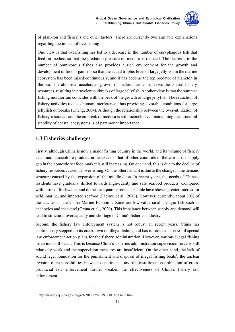

of plankton and fishery) and other factors. There are currently two arguable explanations regarding the impact of overfishing.

One view is that overfishing has led to a decrease in the number of euryphagous fish that feed on medusa so that the predation pressure on medusa is reduced. The decrease in the number of omnivorous fishes also provides a rich environment for the growth and development of food organisms so that the actual trophic level of large jellyfish in the marine ecosystem has been raised continuously, and it has become the top predator of plankton in the sea. The abnormal accelerated growth of medusa further squeezes the coastal fishery resources, resulting in pravelent outbreaks of large jellyfish. Another view is that the summer fishing moratorium coincides with the peak of the growth of large jellyfish. The reduction of fishery activities reduces human interference, thus providing favorable conditions for large jellyfish outbreaks (Cheng, 2004). Although the relationship between the over-utilization of fishery resources and the outbreak of medusa is still inconclusive, maintaining the structural stability of coastal ecosystems is of paramount importance.

# **1.3 Fisheries challenges**

Firstly, although China is now a major fishing country in the world, and its volume of fishery catch and aquaculture production far exceeds that of other countries in the world, the supply gap in the domestic seafood market is still increasing. On one hand, this is due to the decline of fishery resources caused by overfishing. On the other hand, it is due to the change in the demand structure caused by the expansion of the middle class. In recent years, the needs of Chinese residents have gradually shifted towards high-quality and safe seafood products. Compared with farmed, freshwater, and domestic aquatic products, people have shown greater interest for wild, marine, and imported seafood (Fabinyi et al., 2016). However, currently, about 80% of the catches in the China Marine Economic Zone are low-value small pelagic fish such as anchovies and mackerel(Crona et al., 2020). This imbalance between supply and demand will lead to structural overcapacity and shortage in China's fisheries industry.

Second, the fishery law enforcement system is not robust. In recent years, China has continuously stepped up its crackdown on illegal fishing and has introduced a series of special law enforcement action plans for the fishery administration. However, various illegal fishing behaviors still occur. This is because China's fisheries administration supervision force is still relatively weak and the supervision measures are insufficient. On the other hand, the lack of sound legal foundation for the punishment and disposal of illegal fishing boats<sup>1</sup>, the unclear division of responsibilities between departments, and the insufficient coordination of crossprovincial law enforcement further weaken the effectiveness of China's fishery law enforcement

1

<sup>1</sup> http://www.yyj.moa.gov.cn/gzdt/201912/t20191218\_6333402.htm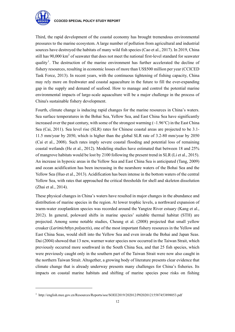

1

#### **CCOCED SPECIAL POLICY STUDY REPORT**

Third, the rapid development of the coastal economy has brought tremendous environmental pressures to the marine ecosystem. A large number of pollution from agricultural and industrial sources have destroyed the habitats of many wild fish species (Cao et al., 2017). In 2019, China still has  $90,000$  km<sup>2</sup> of seawater that does not meet the national first-level standard for seawater quality<sup>1</sup>. The destruction of the marine environment has further accelerated the decline of fishery resources, resulting in economic losses of more than US\$500 million per year (CCICED Task Force, 2013). In recent years, with the continuous tightening of fishing capacity, China may rely more on freshwater and coastal aquaculture in the future to fill the ever-expanding gap in the supply and demand of seafood. How to manage and control the potential marine environmental impacts of large-scale aquaculture will be a major challenge in the process of China's sustainable fishery development.

Fourth, climate change is inducing rapid changes for the marine resources in China's waters. Sea surface temperatures in the Bohai Sea, Yellow Sea, and East China Sea have significantly increased over the past century, with some of the strongest warming  $(\sim 1.96^{\circ}C)$  in the East China Sea (Cai, 2011). Sea level rise (SLR) rates for Chinese coastal areas are projected to be 3.1- 11.5 mm/year by 2050, which is higher than the global SLR rate of 3.2-80 mm/year by 2050 (Cai et al., 2008). Such rates imply severe coastal flooding and potential loss of remaining coastal wetlands (He et al., 2012). Modeling studies have estimated that between 18 and 25% of mangrove habitats would be lost by 2100 following the present trend in SLR (Li et al., 2015). An increase in hypoxic areas in the Yellow Sea and East China Sea is anticipated (Tang, 2009) and ocean acidification has been increasing in the nearshore waters of the Bohai Sea and the Yellow Sea (Huo et al., 2013). Acidification has been intense in the bottom waters of the central Yellow Sea, with rates that approached the critical thresholds for shell and skeleton dissolution (Zhai et al., 2014).

These physical changes in China's waters have resulted in major changes in the abundance and distribution of marine species in the region. At lower trophic levels, a northward expansion of warm-water zooplankton species was recorded around the Yangtze River estuary (Kang et al., 2012). In general, poleward shifts in marine species' suitable thermal habitat (STH) are projected. Among some notable studies, Cheung et al. (2008) projected that small yellow croaker (*Larimichthys polyactis*), one of the most important fishery resources in the Yellow and East China Seas, would shift into the Yellow Sea and even invade the Bohai and Japan Seas. Dai (2004) showed that 13 new, warmer water species now occurred in the Taiwan Strait, which previously occurred more southward in the South China Sea, and that 25 fish species, which were previously caught only in the southern part of the Taiwan Strait were now also caught in the northern Taiwan Strait. Altogether, a growing body of literature presents clear evidence that climate change that is already underway presents many challenges for China's fisheries. Its impacts on coastal marine habitats and shifting of marine species pose risks on fishing

<sup>1</sup> http://english.mee.gov.cn/Resources/Reports/soe/SOEE2019/202012/P020201215587453898053.pdf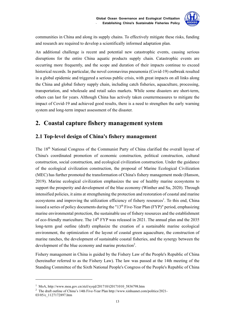

communities in China and along its supply chains. To effectively mitigate these risks, funding and research are required to develop a scientifically informed adaptation plan.

An additional challenge is recent and potential new catastrophic events, causing serious disruptions for the entire China aquatic products supply chain. Catastrophic events are occurring more frequently, and the scope and duration of their impacts continue to exceed historical records. In particular, the novel coronavirus pneumonia (Covid-19) outbreak resulted in a global epidemic and triggered a serious public crisis, with great impacts on all links along the China and global fishery supply chain, including catch fisheries, aquaculture, processing, transportation, and wholesale and retail sales markets. While some disasters are short-term, others can last for years. Although China has actively taken countermeasures to mitigate the impact of Covid-19 and achieved good results, there is a need to strengthen the early warning system and long-term impact assessment of the disaster.

# **2. Coastal capture fishery management system**

# **2.1 Top-level design of China's fishery management**

The 18th National Congress of the Communist Party of China clarified the overall layout of China's coordinated promotion of economic construction, political construction, cultural construction, social construction, and ecological civilization construction. Under the guidance of the ecological civilization construction, the proposal of Marine Ecological Civilization (MEC) has further promoted the transformation of China's fishery management mode (Hanson, 2019). Marine ecological civilization emphasizes the use of healthy marine ecosystems to support the prosperity and development of the blue economy (Winther and Su, 2020). Through intensified policies, it aims at strengthening the protection and restoration of coastal and marine ecosystems and improving the utilization efficiency of fishery resources<sup>1</sup>. To this end, China issued a series of policy documents during the " $13<sup>th</sup>$  Five-Year Plan (FYP)" period, emphasizing marine environmental protection, the sustainable use of fishery resources and the establishment of eco-friendly mariculture. The 14<sup>th</sup> FYP was released in 2021. The annual plan and the 2035 long-term goal outline (draft) emphasize the creation of a sustainable marine ecological environment, the optimization of the layout of coastal green aquaculture, the construction of marine ranches, the development of sustainable coastal fisheries, and the synergy between the development of the blue economy and marine protection<sup>2</sup>.

Fishery management in China is guided by the Fishery Law of the People's Republic of China (hereinafter referred to as the Fishery Law). The law was passed at the 14th meeting of the Standing Committee of the Sixth National People's Congress of the People's Republic of China

<u>.</u>

<sup>&</sup>lt;sup>1</sup> MoA, http://www.moa.gov.cn/ztzl/xysjd/201710/t20171010\_5836798.htm<br><sup>2</sup> The draft outline of China's 14th Five Near Plan http://www.xinbuanet.com

<sup>&</sup>lt;sup>2</sup> The draft outline of China's 14th Five-Year Plan http://www.xinhuanet.com/politics/2021-

<sup>03/05/</sup>c\_1127172897.htm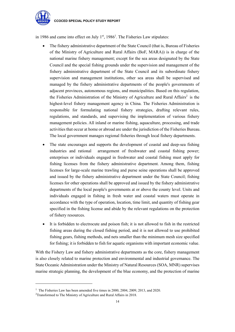

1

in 1986 and came into effect on July  $1<sup>st</sup>$ , 1986<sup>1</sup>. The Fisheries Law stipulates:

- The fishery administrative department of the State Council (that is, Bureau of Fisheries of the Ministry of Agriculture and Rural Affairs (BoF, MARA)) is in charge of the national marine fishery management; except for the sea areas designated by the State Council and the special fishing grounds under the supervision and management of the fishery administrative department of the State Council and its subordinate fishery supervision and management institutions, other sea areas shall be supervised and managed by the fishery administrative departments of the people's governments of adjacent provinces, autonomous regions, and municipalities. Based on this regulation, the Fisheries Administration of the Ministry of Agriculture and Rural Affairs<sup>2</sup> is the highest-level fishery management agency in China. The Fisheries Administration is responsible for formulating national fishery strategies, drafting relevant rules, regulations, and standards, and supervising the implementation of various fishery management policies. All inland or marine fishing, aquaculture, processing, and trade activities that occur at home or abroad are under the jurisdiction of the Fisheries Bureau. The local government manages regional fisheries through local fishery departments.
- The state encourages and supports the development of coastal and deep-sea fishing industries and rational arrangement of freshwater and coastal fishing power; enterprises or individuals engaged in freshwater and coastal fishing must apply for fishing licenses from the fishery administrative department. Among them, fishing licenses for large-scale marine trawling and purse seine operations shall be approved and issued by the fishery administrative department under the State Council; fishing licenses for other operations shall be approved and issued by the fishery administrative departments of the local people's governments at or above the county level. Units and individuals engaged in fishing in fresh water and coastal waters must operate in accordance with the type of operation, location, time limit, and quantity of fishing gear specified in the fishing license and abide by the relevant regulations on the protection of fishery resources.
- It is forbidden to electrocute and poison fish; it is not allowed to fish in the restricted fishing areas during the closed fishing period, and it is not allowed to use prohibited fishing gears, fishing methods, and nets smaller than the minimum mesh size specified for fishing; it is forbidden to fish for aquatic organisms with important economic value.

With the Fishery Law and fishery administrative departments as the core, fishery management is also closely related to marine protection and environmental and industrial governance. The State Oceanic Administration under the Ministry of Natural Resources (SOA, MNR) supervises marine strategic planning, the development of the blue economy, and the protection of marine

<sup>&</sup>lt;sup>1</sup> The Fisheries Law has been amended five times in 2000, 2004, 2009, 2013, and 2020.<br><sup>2</sup>Transformed to The Ministry of Agriculture and Bural Affairs in 2018

<sup>&</sup>lt;sup>2</sup>Transformed to The Ministry of Agriculture and Rural Affairs in 2018.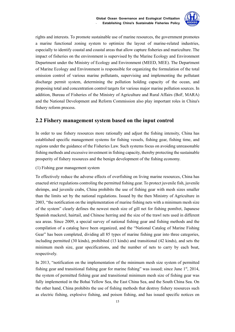

rights and interests. To promote sustainable use of marine resources, the government promotes a marine functional zoning system to optimize the layout of marine-related industries, especially to identify coastal and coastal areas that allow capture fisheries and mariculture. The impact of fisheries on the environment is supervised by the Marine Ecology and Environment Department under the Ministry of Ecology and Environment (MEED, MEE). The Department of Marine Ecology and Environment is responsible for organizing the formulation of the total emission control of various marine pollutants, supervising and implementing the pollutant discharge permit system, determining the pollution holding capacity of the ocean, and proposing total and concentration control targets for various major marine pollution sources. In addition, Bureau of Fisheries of the Ministry of Agriculture and Rural Affairs (BoF, MARA) and the National Development and Reform Commission also play important roles in China's fishery reform process.

### **2.2 Fishery management system based on the input control**

In order to use fishery resources more rationally and adjust the fishing intensity, China has established specific management systems for fishing vessels, fishing gear, fishing time, and regions under the guidance of the Fisheries Law. Such systems focus on avoiding unreasonable fishing methods and excessive investment in fishing capacity, thereby protecting the sustainable prosperity of fishery resources and the benign development of the fishing economy.

(1) Fishing gear management system

To effectively reduce the adverse effects of overfishing on living marine resources, China has enacted strict regulations controling the permitted fishing gear. To protect juvenile fish, juvenile shrimps, and juvenile crabs, China prohibits the use of fishing gear with mesh sizes smaller than the limits set by the national regulations. Issued by the then Ministry of Agriculture in 2003, "the notification on the implementation of marine fishing nets with a minimum mesh size of the system" clearly defines the newest mesh size of gill net for fishing pomfret, Japanese Spanish mackerel, hairtail, and Chinese herring and the size of the trawl nets used in different sea areas. Since 2009, a special survey of national fishing gear and fishing methods and the compilation of a catalog have been organized, and the "National Catalog of Marine Fishing Gear" has been completed, dividing all 85 types of marine fishing gear into three categories, including permitted (30 kinds), prohibited (13 kinds) and transitional (42 kinds), and sets the minimum mesh size, gear specifications, and the number of nets to carry by each boat, respectively.

In 2013, "notification on the implementation of the minimum mesh size system of permitted fishing gear and transitional fishing gear for marine fishing" was issued; since June  $1<sup>st</sup>$ , 2014, the system of permitted fishing gear and transitional minimum mesh size of fishing gear was fully implemented in the Bohai Yellow Sea, the East China Sea, and the South China Sea. On the other hand, China prohibits the use of fishing methods that destroy fishery resources such as electric fishing, explosive fishing, and poison fishing, and has issued specific notices on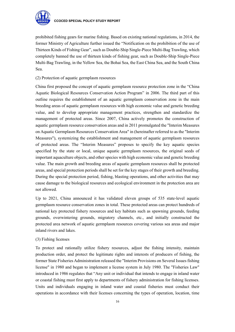

prohibited fishing gears for marine fishing. Based on existing national regulations, in 2014, the former Ministry of Agriculture further issued the "Notification on the prohibition of the use of Thirteen Kinds of Fishing Gear", such as Double-Ship Single-Piece Multi-Bag Trawling, which completely banned the use of thirteen kinds of fishing gear, such as Double-Ship Single-Piece Multi-Bag Trawling, in the Yellow Sea, the Bohai Sea, the East China Sea, and the South China Sea.

#### (2) Protection of aquatic germplasm resources

China first proposed the concept of aquatic germplasm resource protection zone in the "China Aquatic Biological Resources Conservation Action Program" in 2006. The third part of this outline requires the establishment of an aquatic germplasm conservation zone in the main breeding areas of aquatic germplasm resources with high economic value and genetic breeding value, and to develop appropriate management practices, strengthen and standardize the management of protected areas. Since 2007, China actively promotes the construction of aquatic germplasm resource conservation areas and in 2011 promulgated the "Interim Measures on Aquatic Germplasm Resources Conservation Area" in (hereinafter referred to as the "Interim Measures"), systemizing the establishment and management of aquatic germplasm resources of protected areas. The "Interim Measures" proposes to specify the key aquatic species specified by the state or local, unique aquatic germplasm resources, the original seeds of important aquaculture objects, and other species with high economic value and genetic breeding value. The main growth and breeding areas of aquatic germplasm resources shall be protected areas, and special protection periods shall be set for the key stages of their growth and breeding. During the special protection period, fishing, blasting operations, and other activities that may cause damage to the biological resources and ecological environment in the protection area are not allowed.

Up to 2021, China announced it has validated eleven groups of 535 state-level aquatic germplasm resource conservation zones in total. These protected areas can protect hundreds of national key protected fishery resources and key habitats such as spawning grounds, feeding grounds, overwintering grounds, migratory channels, etc., and initially constructed the protected area network of aquatic germplasm resources covering various sea areas and major inland rivers and lakes.

#### (3) Fishing licenses

To protect and rationally utilize fishery resources, adjust the fishing intensity, maintain production order, and protect the legitimate rights and interests of producers of fishing, the former State Fisheries Administration released the "Interim Provisions on Several Issues fishing license" in 1980 and began to implement a license system in July 1980. The "Fisheries Law" introduced in 1986 regulates that "Any unit or individual that intends to engage in inland water or coastal fishing must first apply to departments of fishery administration for fishing licenses. Units and individuals engaging in inland water and coastal fisheries must conduct their operations in accordance with their licenses concerning the types of operation, location, time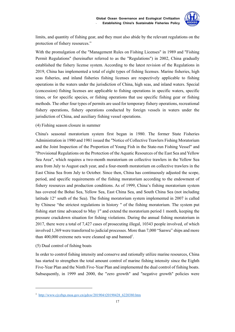

limits, and quantity of fishing gear, and they must also abide by the relevant regulations on the protection of fishery resources."

With the promulgation of the "Management Rules on Fishing Licenses" in 1989 and "Fishing Permit Regulations" (hereinafter referred to as the "Regulations") in 2002, China gradually established the fishery license system. According to the latest revision of the Regulations in 2019, China has implemented a total of eight types of fishing licenses. Marine fisheries, high seas fisheries, and inland fisheries fishing licenses are respectively applicable to fishing operations in the waters under the jurisdiction of China, high seas, and inland waters. Special (concession) fishing licenses are applicable to fishing operations in specific waters, specific times, or for specific species, or fishing operations that use specific fishing gear or fishing methods. The other four types of permits are used for temporary fishery operations, recreational fishery operations, fishery operations conducted by foreign vessels in waters under the jurisdiction of China, and auxiliary fishing vessel operations.

#### (4) Fishing season closure in summer

China's seasonal moratorium system first began in 1980. The former State Fisheries Administration in 1980 and 1981 issued the "Notice of Collective Trawlers Fishing Moratorium and the Joint Inspection of the Proportion of Young Fish in the State-run Fishing Vessel" and "Provisional Regulations on the Protection of the Aquatic Resources of the East Sea and Yellow Sea Area", which requires a two-month moratorium on collective trawlers in the Yellow Sea area from July to August each year, and a four-month moratorium on collective trawlers in the East China Sea from July to October. Since then, China has continuously adjusted the scope, period, and specific requirements of the fishing moratorium according to the endowment of fishery resources and production conditions. As of 1999, China's fishing moratorium system has covered the Bohai Sea, Yellow Sea, East China Sea, and South China Sea (not including latitude 12° south of the Sea). The fishing moratorium system implemented in 2007 is called by Chinese "the strictest regulations in history " of the fishing moratorium. The system put fishing start time advanced to May  $1<sup>st</sup>$  and extend the moratorium period 1 month, keeping the pressure crackdown situation for fishing violations. During the annual fishing moratorium in 2017, there were a total of 7,427 cases of prosecuting illegal, 10343 people involved, of which involved 1,369 were transferred to judicial processes. More than 7,000 "Sanwu" ships and more than  $400,000$  extreme nets were cleaned up and banned<sup>1</sup>.

#### (5) Dual control of fishing boats

1

In order to control fishing intensity and conserve and rationally utilize marine resources, China has started to strengthen the total amount control of marine fishing intensity since the Eighth Five-Year Plan and the Ninth Five-Year Plan and implemented the dual control of fishing boats. Subsequently, in 1999 and 2000, the "zero growth" and "negative growth" policies were

<sup>1</sup> http://www.cjyzbgs.moa.gov.cn/gdxw/201904/t20190428\_6220380.htm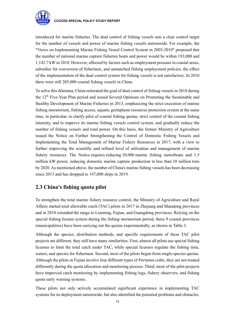

introduced for marine fisheries. The dual control of fishing vessels sets a clear control target for the number of vessels and power of marine fishing vessels nationwide. For example, the "Views on Implementing Marine Fishing Vessel Control System in 2003-2010" proposed that the number of national marine capture fisheries boats and power would be within 193,000 and 1,142.7 kW in 2010. However, affected by factors such as employment pressure in coastal areas, subsidies for conversion of fishermen, and unmatched fishing employment policies, the effect of the implementation of the dual control system for fishing vessels is not satisfactory. In 2010 there were still 205,000 coastal fishing vessels in China.

To solve this dilemma, China reiterated the goal of dual control of fishing vessels in 2010 during the 12<sup>th</sup> Five-Year Plan period and issued Several Opinions on Promoting the Sustainable and Healthy Development of Marine Fisheries in 2013, emphasizing the strict execution of marine fishing moratorium, fishing access, aquatic germplasm resources protection system at the same time, in particular, to clarify pilot of coastal fishing quotas, strict control of the coastal fishing intensity, and to improve its marine fishing vessels control system, and gradually reduce the number of fishing vessels and total power. On this basis, the former Ministry of Agriculture issued the Notice on Further Strengthening the Control of Domestic Fishing Vessels and Implementing the Total Management of Marine Fishery Resources in 2017, with a view to further improving the scientific and refined level of utilization and management of marine fishery resources. The Notice requires reducing 20,000 marine fishing motorboats and 1.5 million kW power, reducing domestic marine capture production to less than 10 million tons by 2020. As mentioned above, the number of China's marine fishing vessels has been decreasing since 2013 and has dropped to 147,000 ships in 2019.

## **2.3 China's fishing quota pilot**

To strengthen the total marine fishery resource control, the Ministry of Agriculture and Rural Affairs started total allowable catch (TAC) pilots in 2017 in Zhejiang and Shandong provinces and in 2018 extended the range to Liaoning, Fujian, and Guangdong provinces. Relying on the special fishing license system during the fishing moratorium period, these 9 coastal provinces (municipalities) have been carrying out the quotas experimentally, as shown in Table 3.

Although the species, distribution methods, and specific requirements of these TAC pilot projects are different, they still have many similarities. First, almost all pilots use special fishing licenses to limit the total catch under TAC, while special licenses regulate the fishing time, waters, and species for fishermen. Second, most of the pilots began from single-species quotas. Although the pilots in Fujian involve four different types of *Portunus* crabs, they are not treated differently during the quota allocation and monitoring process. Third, most of the pilot projects have improved catch monitoring by implementing fishing logs, fishery observers, and fishing quota early warning systems.

These pilots not only actively accumulated significant experience in implementing TAC systems for its deployment nationwide, but also identified the potential problems and obstacles.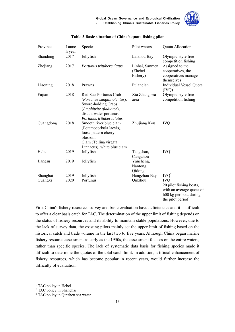

| Province            | Launc<br>h year | Species                                                                                                                                                       | Pilot waters                          | Quota Allocation                                                                                                                                 |
|---------------------|-----------------|---------------------------------------------------------------------------------------------------------------------------------------------------------------|---------------------------------------|--------------------------------------------------------------------------------------------------------------------------------------------------|
| Shandong            | 2017            | Jellyfish                                                                                                                                                     | Laizhou Bay                           | Olympic-style free<br>competition fishing                                                                                                        |
| Zhejiang            | 2017            | Portunus trituberculatus                                                                                                                                      | Linhai, Sanmen<br>(Zhebei<br>Fishery) | Assigned to the<br>cooperatives, the<br>cooperatives manage<br>themselves                                                                        |
| Liaoning            | 2018            | Prawns                                                                                                                                                        | Pulandian                             | Individual Vessel Quota<br>(IVQ)                                                                                                                 |
| Fujian              | 2018            | Red Star Portunus Crab<br>(Portunus sanguinolentus),<br>Sword-holding Crabs<br>(Amphitrite gladiator),<br>distant water portunus,<br>Portunus trituberculatus | Xia Zhang sea<br>area                 | Olympic-style free<br>competition fishing                                                                                                        |
| Guangdong           | 2018            | Smooth river blue clam<br>(Potamocorbula laevis),<br>loose pattern cherry<br>blossom<br>Clam (Tellina virgata<br>Linnaeus), white blue clam                   | Zhujiang Kou                          | <b>IVQ</b>                                                                                                                                       |
| Hebei               | 2019            | Jellyfish                                                                                                                                                     | Tangshan,<br>Cangzhou                 | IVQ <sup>1</sup>                                                                                                                                 |
| Jiangsu             | 2019            | Jellyfish                                                                                                                                                     | Yancheng,<br>Nantong,<br>Qidong       |                                                                                                                                                  |
| Shanghai<br>Guangxi | 2019<br>2020    | Jellyfish<br>Portunus                                                                                                                                         | Hangzhou Bay<br>Qinzhou               | IVQ <sup>2</sup><br><b>IVQ</b><br>20 pilot fishing boats,<br>with an average quota of<br>600 kg per boat during<br>the pilot period <sup>3</sup> |

#### **Table 3 Basic situation of China's quota fishing pilot**

First China's fishery resources survey and basic evaluation have deficiencies and it is difficult to offer a clear basis catch for TAC. The determination of the upper limit of fishing depends on the status of fishery resources and its ability to maintain stable populations. However, due to the lack of survey data, the existing pilots mainly set the upper limit of fishing based on the historical catch and trade volume in the last two to five years. Although China began marine fishery resource assessment as early as the 1950s, the assessment focuses on the entire waters, rather than specific species. The lack of systematic data basis for fishing species made it difficult to determine the quotas of the total catch limit. In addition, artificial enhancement of fishery resources, which has become popular in recent years, would further increase the difficulty of evaluation.

<u>.</u>

<sup>&</sup>lt;sup>1</sup> TAC policy in Hebei

<sup>2</sup> TAC policy in Shanghai

<sup>&</sup>lt;sup>3</sup> TAC policy in Qinzhou sea water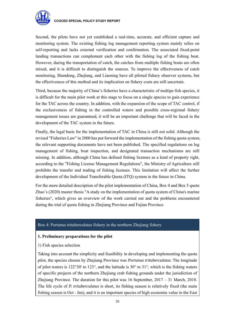

Second, the pilots have not yet established a real-time, accurate, and efficient capture and monitoring system. The existing fishing log management reporting system mainly relies on self-reporting and lacks external verification and confirmation. The associated fixed-point landing transactions can complement each other with the fishing log of the fishing boat. However, during the transportation of catch, the catches from multiple fishing boats are often mixed, and it is difficult to distinguish the sources. To improve the effectiveness of catch monitoring, Shandong, Zhejiang, and Liaoning have all piloted fishery observer systems, but the effectiveness of this method and its implication on fishery costs are still uncertain.

Third, because the majority of China's fisheries have a characteristic of multipe fish species, it is difficult for the main pilot work at this stage to focus on a single species to gain experience for the TAC across the country. In addition, with the expansion of the scope of TAC control, if the exclusiveness of fishing in the controlled waters and possible cross-regional fishery management issues are guaranteed, it will be an important challenge that will be faced in the development of the TAC system in the future.

Finally, the legal basis for the implementation of TAC in China is still not solid. Although the revised "Fisheries Law" in 2000 has put forward the implementation of the fishing quota system, the relevant supporting documents have not been published. The specified regulations on log management of fishing, boat inspection, and designated transaction mechanisms are still missing. In addition, although China has defined fishing licenses as a kind of property right, according to the "Fishing License Management Regulations", the Ministry of Agriculture still prohibits the transfer and trading of fishing licenses. This limitation will affect the further development of the Individual Transferable Quota (ITQ) system in the future in China.

For the more detailed description of the pilot implementation of China, Box 4 and Box 5 quote Zhao's (2020) master thesis "A study on the implementation of quota system of China's marine fisheries", which gives an overview of the work carried out and the problems encountered during the trial of quota fishing in Zhejiang Province and Fujian Province

#### Box 4: Portunus trituberculatus fishery in the northern Zhejiang fishery

#### **1. Preliminary preparations for the pilot**

#### 1) Fish species selection

Taking into account the simplicity and feasibility in developing and implementing the quota pilot, the species chosen by Zhejiang Province was *Portunus trituberculatus*. The longitude of pilot waters is 122°30' to 123°, and the latitude is 30° to 31°, which is the fishing waters of specific projects of the northern Zhejiang crab fishing grounds under the jurisdiction of Zhejiang Province. The duration for this pilot was 16 September,  $2017 - 31$  March, 2018. The life cycle of *P. trituberculatus* is short, its fishing season is relatively fixed (the main fishing season is Oct - Jan), and it is an important species of high economic value in the East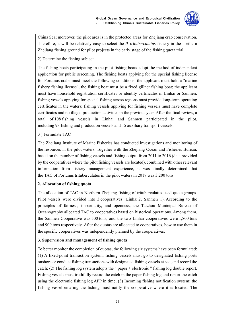

China Sea; moreover, the pilot area is in the protected areas for Zhejiang crab conservation. Therefore, it will be relatively easy to select the *P. trituberculatus* fishery in the northern Zhejiang fishing ground for pilot projects in the early stage of the fishing quota trial.

2) Determine the fishing subject

The fishing boats participating in the pilot fishing boats adopt the method of independent application for public screening. The fishing boats applying for the special fishing license for Portunus crabs must meet the following conditions: the applicant must hold a "marine fishery fishing license"; the fishing boat must be a fixed gillnet fishing boat; the applicant must have household registration certificates or identity certificates in Linhai or Sanmen; fishing vessels applying for special fishing across regions must provide long-term operating certificates in the waters; fishing vessels applying for fishing vessels must have complete certificates and no illegal production activities in the previous year. After the final review, a total of 108 fishing vessels in Linhai and Sanmen participated in the pilot, including 93 fishing and production vessels and 15 auxiliary transport vessels.

#### 3 ) Formulate TAC

The Zhejiang Institute of Marine Fisheries has conducted investigations and monitoring of the resources in the pilot waters. Together with the Zhejiang Ocean and Fisheries Bureau, based on the number of fishing vessels and fishing output from 2011 to 2016 (data provided by the cooperatives where the pilot fishing vessels are located), combined with other relevant information from fishery management experience, it was finally determined that the TAC of Portunus trituberculatus in the pilot waters in 2017 was 3,200 tons.

#### **2. Allocation of fishing quota**

The allocation of TAC in Northern Zhejiang fishing of trituberculatus used quota groups. Pilot vessels were divided into 3 cooperatives (Linhai 2, Sanmen 1). According to the principles of fairness, impartiality, and openness, the Taizhou Municipal Bureau of Oceanography allocated TAC to cooperatives based on historical operations. Among them, the Sanmen Cooperative was 500 tons, and the two Linhai cooperatives were 1,800 tons and 900 tons respectively. After the quotas are allocated to cooperatives, how to use them in the specific cooperatives was independently planned by the cooperatives.

#### **3. Supervision and management of fishing quota**

To better monitor the completion of quotas, the following six systems have been formulated: (1) A fixed-point transaction system: fishing vessels must go to designated fishing ports onshore or conduct fishing transactions with designated fishing vessels at sea, and record the catch; (2) The fishing log system adopts the " paper + electronic " fishing log double report. Fishing vessels must truthfully record the catch in the paper fishing log and report the catch using the electronic fishing log APP in time; (3) Incoming fishing notification system: the fishing vessel entering the fishing must notify the cooperative where it is located. The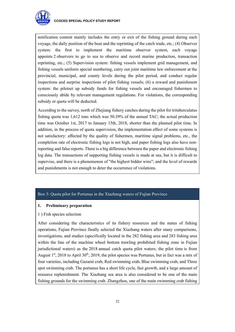

notification content mainly includes the entry or exit of the fishing ground during each voyage, the daily position of the boat and the reprinting of the catch trade, etc.; (4) Observer system: the first to implement the maritime observer system, each voyage appoints 2 observers to go to sea to observe and record marine production, transaction reprinting, etc.; (5) Supervision system: fishing vessels implement grid management, and fishing vessels uniform special numbering, carry out joint maritime law enforcement at the provincial, municipal, and county levels during the pilot period, and conduct regular inspections and surprise inspections of pilot fishing vessels; (6) a reward and punishment system: the pilotset up subsidy funds for fishing vessels and encouraged fishermen to consciously abide by relevant management regulations. For violations, the corresponding subsidy or quota will be deducted.

According to the survey, north of Zhejiang fishery catches during the pilot for trituberculatus fishing quota was 1,612 tons which was 50.39% of the annual TAC; the actual production time was October 1st, 2017 to January 15th, 2018, shorter than the planned pilot time. In addition, in the process of quota supervision, the implementation effect of some systems is not satisfactory: affected by the quality of fishermen, maritime signal problems, etc., the completion rate of electronic fishing logs is not high, and paper fishing logs also have nonreporting and false reports. There is a big difference between the paper and electronic fishing log data. The transactions of supporting fishing vessels is made at sea, but it is difficult to supervise, and there is a phenomenon of "the highest bidder wins"; and the level of rewards and punishments is not enough to deter the occurrence of violations.

#### Box 5: Quota pilot for Portunus in the Xiazhang waters of Fujian Province

#### **1. Preliminary preparation**

#### 1 ) Fish species selection

After considering the characteristics of its fishery resources and the status of fishing operations, Fujian Province finally selected the Xiazhang waters after many comparisons, investigations, and studies (specifically located in the 282 fishing area and 283 fishing area within the line of the machine wheel bottom trawling prohibited fishing zone in Fujian jurisdictional waters) as the 2018 annual catch quota pilot waters; the pilot time is from August  $1<sup>st</sup>$ , 2018 to April 30<sup>th</sup>, 2019; the pilot species was Portunus, but in fact was a mix of four varieties, including Gazami crab, Red swimming crab, Blue swimming crab, and Three spot swimming crab. The portunus has a short life cycle, fast growth, and a large amount of resource replenishment. The Xiazhang sea area is also considered to be one of the main fishing grounds for the swimming crab. Zhangzhou, one of the main swimming crab fishing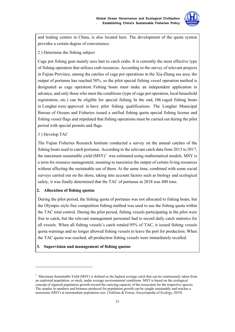

and trading centers in China, is also located here. The development of the quota system provides a certain degree of convenience.

2 ) Determine the fishing subject

Cage pot fishing gear mainly uses bait to catch crabs. It is currently the most effective type of fishing operation that utilizes crab resources. According to the survey of relevant projects in Fujian Province, among the catches of cage pot operations in the Xia-Zhang sea area, the output of portunus has reached 50%, so the pilot special fishing vessel operation method is designated as cage operation. Fishing boats must make an independent application in advance, and only those who meet the conditions (type of cage pot operation, local household registration, etc.) can be eligible for special fishing. In the end, 106 caged fishing boats in Longhai were approved to have pilot fishing qualifications. The Longhai Municipal Bureau of Oceans and Fisheries issued a unified fishing quota special fishing license and fishing vessel flags and stipulated that fishing operations must be carried out during the pilot period with special permits and flags.

#### 3 ) Develop TAC

<u>.</u>

The Fujian Fisheries Research Institute conducted a survey on the annual catches of the fishing boats used to catch portunus. According to the relevant catch data from 2013 to 2017, the maximum sustainable yield  $(MSY)^1$  was estimated using mathematical models. MSY is a term for resource management, meaning to maximize the output of certain living resources without affecting the sustainable use of them. At the same time, combined with some social surveys carried out on the shore, taking into account factors such as biology and ecological safety, it was finally determined that the TAC of portunus in 2018 was 400 tons.

#### **2. Allocation of fishing quotas**

During the pilot period, the fishing quota of portunus was not allocated to fishing boats, but the Olympic-style free competition fishing method was used to use the fishing quota within the TAC total control. During the pilot period, fishing vessels participating in the pilot were free to catch, but the relevant management personnel had to record daily catch statistics for all vessels. When all fishing vessels's catch totaled 95% of TAC, it issued fishing vessels quota warnings and no longer allowed fishing vessels to leave the port for production. When the TAC quota was reached, all production fishing vessels were immediately recalled.

#### **3. Supervision and management of fishing quotas**

<sup>&</sup>lt;sup>1</sup> Maximum Sustainable Yield (MSY) is defined as the highest average catch that can be continuously taken from an exploited population, or stock, under average environmental conditions. MSY is based on the ecological concept of sigmoid population growth toward the carrying capacity of the ecosystem for the respective species. The surplus in numbers and biomass produced for population growth can be caught sustainably and reaches a maximum (MSY) at intermediate population size. (Tsikliras & Froese, Encyclopedia of Ecology, 2019)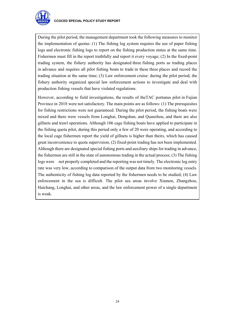

During the pilot period, the management department took the following measures to monitor the implementation of quotas: (1) The fishing log system requires the use of paper fishing logs and electronic fishing logs to report on the fishing production status at the same time. Fishermen must fill in the report truthfully and report it every voyage; (2) In the fixed-point trading system, the fishery authority has designated three fishing ports as trading places in advance and requires all pilot fishing boats to trade in these three places and record the trading situation at the same time; (3) Law enforcement cruise: during the pilot period, the fishery authority organized special law enforcement actions to investigate and deal with production fishing vessels that have violated regulations.

However, according to field investigations, the results of theTAC portunus pilot in Fujian Province in 2018 were not satisfactory. The main points are as follows: (1) The prerequisites for fishing restrictions were not guaranteed. During the pilot period, the fishing boats were mixed and there were vessels from Longhai, Dongshan, and Quanzhou, and there are also gillnets and trawl operations. Although 106 cage fishing boats have applied to participate in the fishing quota pilot, during this period only a few of 20 were operating, and according to the local cage fishermen report the yield of gillnets is higher than theirs, which has caused great inconvenience to quota supervision; (2) fixed-point trading has not been implemented. Although there are designated special fishing ports and auxiliary ships for trading in advance, the fishermen are still in the state of autonomous trading in the actual process; (3) The fishing logs were not properly completed and the reporting was not timely. The electronic log entry rate was very low, according to comparison of the output data from two monitoring vessels. The authenticity of fishing log data reported by the fishermen needs to be studied; (4) Law enforcement in the sea is difficult. The pilot sea areas involve Xiamen, Zhangzhou, Haichang, Longhai, and other areas, and the law enforcement power of a single department is weak.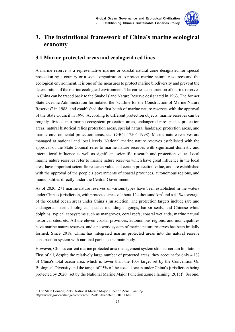

# **3. The institutional framework of China's marine ecological economy**

# **3.1 Marine protected areas and ecological red lines**

A marine reserve is a representative marine or coastal natural zone designated for special protection by a country or a social organization to protect marine natural resources and the ecological environment. It is one of the measures to protect marine biodiversity and prevent the deterioration of the marine ecological environment. The earliest construction of marine reserves in China can be traced back to the Snake Island Nature Reserve designated in 1963. The former State Oceanic Administration formulated the "Outline for the Construction of Marine Nature Reserves" in 1988, and established the first batch of marine nature reserves with the approval of the State Council in 1990. According to different protection objects, marine reserves can be roughly divided into marine ecosystem protection areas, endangered rare species protection areas, natural historical relics protection areas, special natural landscape protection areas, and marine environmental protection areas, etc. (GB/T 17504-1998). Marine nature reserves are managed at national and local levels. National marine nature reserves established with the approval of the State Council refer to marine nature reserves with significant domestic and international influence as well as significant scientific research and protection value. Local marine nature reserves refer to marine nature reserves which have great influence in the local area, have important scientific research value and certain protection value, and are established with the approval of the people's governments of coastal provinces, autonomous regions, and municipalities directly under the Central Government.

As of 2020, 271 marine nature reserves of various types have been established in the waters under China's jurisdiction, with protected areas of about 124 thousand  $km<sup>2</sup>$  and a 4.1% coverage of the coastal ocean areas under China's jurisdiction. The protection targets include rare and endangered marine biological species including dugongs, harbor seals, and Chinese white dolphins; typical ecosystems such as mangroves, coral reefs, coastal wetlands; marine natural historical sites, etc. All the eleven coastal provinces, autonomous regions, and municipalities have marine nature reserves, and a network system of marine nature reserves has been initially formed. Since 2018, China has integrated marine protected areas into the natural reserve construction system with national parks as the main body.

However, China's current marine protected area management system still has certain limitations. First of all, despite the relatively large number of protected areas, they account for only 4.1% of China's total ocean area, which is lower than the 10% target set by the Convention On Biological Diversity and the target of "5% of the coastal ocean under China's jurisdiction being protected by 2020" set by the National Marine Major Function Zone Planning  $(2015)^{1}$ . Second,

1

<sup>&</sup>lt;sup>1</sup> The State Council, 2015. National Marine Major Function Zone Planning. http://www.gov.cn/zhengce/content/2015-08/20/content\_10107.htm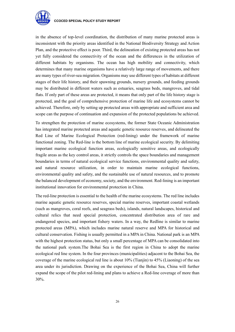

#### **CCOCED SPECIAL POLICY STUDY REPORT**

in the absence of top-level coordination, the distribution of many marine protected areas is inconsistent with the priority areas identified in the National Biodiversity Strategy and Action Plan, and the protective effect is poor. Third, the delineation of existing protected areas has not yet fully considered the connectivity of the ocean and the differences in the utilization of different habitats by organisms. The ocean has high mobility and connectivity, which determines that many marine organisms have a relatively large range of movements, and there are many types of river-sea migration. Organisms may use different types of habitats at different stages of their life history, and their spawning grounds, nursery grounds, and feeding grounds may be distributed in different waters such as estuaries, seagrass beds, mangroves, and tidal flats. If only part of these areas are protected, it means that only part of the life history stage is protected, and the goal of comprehensive protection of marine life and ecosystems cannot be achieved. Therefore, only by setting up protected areas with appropriate and sufficient area and scope can the purpose of continuation and expansion of the protected populations be achieved.

To strengthen the protection of marine ecosystems, the former State Oceanic Administration has integrated marine protected areas and aquatic genetic resource reserves, and delineated the Red Line of Marine Ecological Protection (red-lining) under the framework of marine functional zoning. The Red-line is the bottom line of marine ecological security. By delimiting important marine ecological function areas, ecologically sensitive areas, and ecologically fragile areas as the key control areas, it strictly controls the space boundaries and management boundaries in terms of natural ecological service functions, environmental quality and safety, and natural resource utilization, in order to maintain marine ecological functions, environmental quality and safety, and the sustainable use of natural resources, and to promote the balanced development of economy, society, and the environment. Red-lining is an important institutional innovation for environmental protection in China.

The red-line protection is essential to the health of the marine ecosystems. The red line includes marine aquatic genetic resource reserves, special marine reserves, important coastal wetlands (such as mangroves, coral reefs, and seagrass beds), islands, natural landscapes, historical and cultural relics that need special protection, concentrated distribution area of rare and endangered species, and important fishery waters. In a way, the Redline is similar to marine protected areas (MPA), which includes marine natural reserve and MPA for historical and cultural conservation. Fishing is usually permitted in a MPA in China. National park is an MPA with the highest protection status, but only a small percentage of MPA can be consolidated into the national park system.The Bohai Sea is the first region in China to adopt the marine ecological red line system. In the four provinces (municipalities) adjacent to the Bohai Sea, the coverage of the marine ecological red line is about 10% (Tianjin) to 45% (Liaoning) of the sea area under its jurisdiction. Drawing on the experience of the Bohai Sea, China will further expand the scope of the pilot red-lining and plans to achieve a Red-line coverage of more than 30%.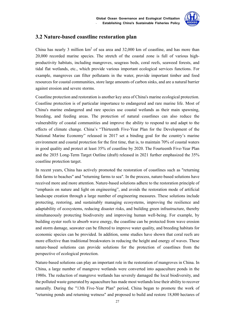

# **3.2 Nature-based coastline restoration plan**

China has nearly 3 million  $km^2$  of sea area and 32,000 km of coastline, and has more than 20,000 recorded marine species. The stretch of the coastal zone is full of various highproductivity habitats, including mangroves, seagrass beds, coral reefs, seaweed forests, and tidal flat wetlands, etc., which provide various important ecological services functions. For example, mangroves can filter pollutants in the water, provide important timber and food resources for coastal communities, store large amounts of carbon sinks, and are a natural barrier against erosion and severe storms.

Coastline protection and restoration is another key area of China's marine ecological protection. Coastline protection is of particular importance to endangered and rare marine life. Most of China's marine endangered and rare species use coastal wetlands as their main spawning, breeding, and feeding areas. The protection of natural coastlines can also reduce the vulnerability of coastal communities and improve the ability to respond to and adapt to the effects of climate change. China's "Thirteenth Five-Year Plan for the Development of the National Marine Economy" released in 2017 set a binding goal for the country's marine environment and coastal protection for the first time, that is, to maintain 70% of coastal waters in good quality and protect at least 35% of coastline by 2020. The Fourteenth Five-Year Plan and the 2035 Long-Term Target Outline (draft) released in 2021 further emphasized the 35% coastline protection target.

In recent years, China has actively promoted the restoration of coastlines such as "returning fish farms to beaches" and "returning farms to sea". In the process, nature-based solutions have received more and more attention. Nature-based solutions adhere to the restoration principle of "emphasis on nature and light on engineering", and avoids the restoration mode of artificial landscape creation through a large number of engineering measures. These solutions include protecting, restoring, and sustainably managing ecosystems, improving the resilience and adaptability of ecosystems, reducing disaster risks, and building green infrastructure, thereby simultaneously protecting biodiversity and improving human well-being. For example, by building oyster reefs to absorb wave energy, the coastline can be protected from wave erosion and storm damage, seawater can be filtered to improve water quality, and breeding habitats for economic species can be provided. In addition, some studies have shown that coral reefs are more effective than traditional breakwaters in reducing the height and energy of waves. These nature-based solutions can provide solutions for the protection of coastlines from the perspective of ecological protection.

Nature-based solutions can play an important role in the restoration of mangroves in China. In China, a large number of mangrove wetlands were converted into aquaculture ponds in the 1980s. The reduction of mangrove wetlands has severely damaged the local biodiversity, and the polluted waste generated by aquaculture has made most wetlands lose their ability to recover naturally. During the "13th Five-Year Plan" period, China began to promote the work of "returning ponds and returning wetness" and proposed to build and restore 18,800 hectares of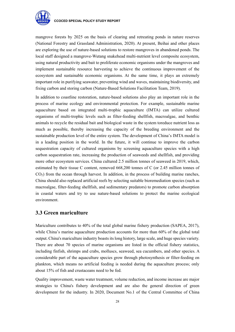

mangrove forests by 2025 on the basis of clearing and retreating ponds in nature reserves (National Forestry and Grassland Administration, 2020). At present, Beihai and other places are exploring the use of nature-based solutions to restore mangroves in abandoned ponds. The local staff designed a mangrove-Wutang snakehead multi-nutrient level composite ecosystem, using natural productivity and bait to proliferate economic organisms under the mangroves and implement sustainable resource harvesting to achieve the continuous improvement of the ecosystem and sustainable economic organisms. At the same time, it plays an extremely important role in purifying seawater, preventing wind and waves, maintaining biodiversity, and fixing carbon and storing carbon (Nature-Based Solutions Facilitation Team, 2019).

In addition to coastline restoration, nature-based solutions also play an important role in the process of marine ecology and environmental protection. For example, sustainable marine aquaculture based on integrated multi-trophic aquaculture (IMTA) can utilize cultured organisms of multi-trophic levels such as filter-feeding shellfish, macroalgae, and benthic animals to recycle the residual bait and biological waste in the system toreduce nutrient loss as much as possible, thereby increasing the capacity of the breeding environment and the sustainable production level of the entire system. The development of China's IMTA model is in a leading position in the world. In the future, it will continue to improve the carbon sequestration capacity of cultured organisms by screening aquaculture species with a high carbon sequestration rate, increasing the production of seaweeds and shellfish, and providing more other ecosystem services. China cultured 2.5 million tonnes of seaweed in 2019, which, estimated by their tissue C content, removed 668,200 tonnes of C (or 2.45 million tonnes of  $CO<sub>2</sub>$ ) from the ocean through harvest. In addition, in the process of building marine ranches, China should also replaced artificial reefs by selecting suitable bioremediation species (such as macroalgae, filter-feeding shellfish, and sedimentary predators) to promote carbon absorption in coastal waters and try to use nature-based solutions to protect the marine ecological environment.

## **3.3 Green mariculture**

Mariculture contributes to 40% of the total global marine fishery production (SAPEA, 2017), while China's marine aquaculture production accounts for more than 60% of the global total output. China's mariculture industry boasts its long history, large scale, and huge species variety. There are about 70 species of marine organisms are listed in the official fishery statistics, including finfish, shrimps and crabs, molluscs, seaweed, sea cucumbers, and other species. A considerable part of the aquaculture species grow through photosynthesis or filter-feeding on plankton, which means no artificial feeding is needed during the aquaculture process; only about 15% of fish and crustaceans need to be fed.

Quality improvement, waste water treatment, volume reduction, and income increase are major strategies to China's fishery development and are also the general direction of green development for the industry. In 2020, Document No.1 of the Central Committee of China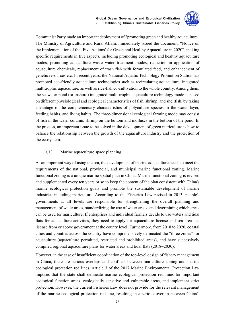

Communist Party made an important deployment of "promoting green and healthy aquaculture". The Ministry of Agriculture and Rural Affairs immediately issued the document, "Notice on the Implementation of the 'Five Actions' for Green and Healthy Aquaculture in 2020", making specific requirements in five aspects, including promoting ecological and healthy aquaculture modes, promoting aquaculture waste water treatment modes, reduction in application of aquaculture chemicals, replacement of trash fish with formulated feed, and enhancement of genetic resources etc. In recent years, the National Aquatic Technology Promotion Station has promoted eco-friendly aquaculture technologies such as recirculating aquaculture, integrated multitrophic aquaculture, as well as rice-fish co-cultivation to the whole country. Among them, the seawater pond (or inshore) integrated multi-trophic aquaculture technology mode is based on different physiological and ecological characteristics of fish, shrimp, and shellfish, by taking advantage of the complementary characteristics of polyculture species in the water layer, feeding habits, and living habits. The three-dimensional ecological farming mode may consist of fish in the water column, shrimp on the bottom and molluscs in the bottom of the pond. In the process, an important issue to be solved in the development of green mariculture is how to balance the relationship between the growth of the aquaculture industry and the protection of the ecosystem.

#### (1) Marine aquaculture space planning

As an important way of using the sea, the development of marine aquaculture needs to meet the requirements of the national, provincial, and municipal marine functional zoning. Marine functional zoning is a unique marine spatial plan in China. Marine functional zoning is revised and supplemented every ten years or so to keep the content of the plan consistent with China's marine ecological protection goals and promote the sustainable development of marine industries including mariculture. According to the Fisheries Law revised in 2013, people's governments at all levels are responsible for strengthening the overall planning and management of water areas, standardizing the use of water areas, and determining which areas can be used for mariculture. If enterprises and individual farmers decide to use waters and tidal flats for aquaculture activities, they need to apply for aquaculture license and sea area use license from or above government at the county level. Furthermore, from 2018 to 2020, coastal cities and counties across the country have comprehensively delineated the "three zones" for aquaculture (aquaculture permitted, restricted and prohibited areas), and have successively compiled regional aquaculture plans for water areas and tidal flats (2018~2030).

However, in the case of insufficient coordination of the top-level design of fishery management in China, there are serious overlaps and conflicts between mariculture zoning and marine ecological protection red lines. Article 3 of the 2017 Marine Environmental Protection Law imposes that the state shall delineate marine ecological protection red lines for important ecological function areas, ecologically sensitive and vulnerable areas, and implement strict protection. However, the current Fisheries Law does not provide for the relevant management of the marine ecological protection red line, resulting in a serious overlap between China's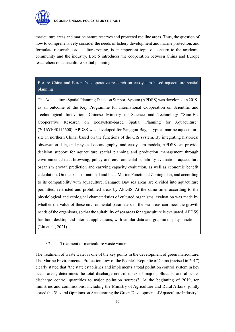

mariculture areas and marine nature reserves and protected red line areas. Thus, the question of how to comprehensively consider the needs of fishery development and marine protection, and formulate reasonable aquaculture zoning, is an important topic of concern to the academic community and the industry. Box 6 introduces the cooperation between China and Europe researchers on aquaculture spatial planning.

# Box 6: China and Europe's cooperative research on ecosystem-based aquaculture spatial planning

The Aquaculture Spatial Planning Decision Support System (APDSS) was developed in 2019, as an outcome of the Key Programme for International Cooperation on Scientific and Technological Innovation, Chinese Ministry of Science and Technology "Sino-EU Cooperative Research on Ecosystem-based Spatial Planning for Aquaculture" (2016YFE0112600). APDSS was developed for Sanggou Bay, a typical marine aquaculture site in northern China, based on the functions of the GIS system. By integrating historical observation data, and physical-oceanography, and ecosystem models, APDSS can provide decision support for aquaculture spatial planning and production management through environmental data browsing, policy and environmental suitability evaluation, aquaculture organism growth prediction and carrying capacity evaluation, as well as economic benefit calculation. On the basis of national and local Marine Functional Zoning plan, and according to its compatibility with aquaculture, Sanggou Bay sea areas are divided into aquaculture permitted, restricted and prohibited areas by APDSS. At the same time, according to the physiological and ecological characteristics of cultured organisms, evaluation was made by whether the value of these environmental parameters in the sea areas can meet the growth needs of the organisms, so that the suitability of sea areas for aquaculture is evaluated. APDSS has both desktop and internet applications, with similar data and graphic display functions. (Liu et al., 2021).

#### (2) Treatment of mariculture waste water

The treatment of waste water is one of the key points in the development of green mariculture. The Marine Environmental Protection Law of the People's Republic of China (revised in 2017) clearly stated that "the state establishes and implements a total pollution control system in key ocean areas, determines the total discharge control index of major pollutants, and allocates discharge control quantities to major pollution sources". At the beginning of 2019, ten ministries and commissions, including the Ministry of Agriculture and Rural Affairs, jointly issued the "Several Opinions on Accelerating the Green Development of Aquaculture Industry",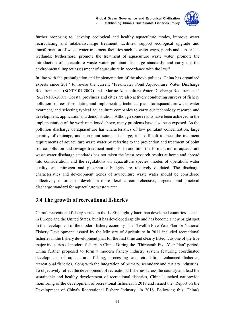

further proposing to "develop ecological and healthy aquaculture modes, improve water recirculating and intake/discharge treatment facilities, support ecological upgrade and transformation of waste water treatment facilities such as water ways, ponds and subsurface wetlands; furthermore, promote the treatment of aquaculture waste water, promote the introduction of aquaculture waste water pollutant discharge standards, and carry out the environmental impact assessment of aquaculture in accordance with the law."

In line with the promulgation and implementation of the above policies, China has organized experts since 2017 to revise the current "Freshwater Pond Aquaculture Water Discharge Requirements" (SC/T9101-2007) and "Marine Aquaculture Water Discharge Requirements" (SC/T9103-2007). Coastal provinces and cities are also actively conducting surveys of fishery pollution sources, formulating and implementing technical plans for aquaculture waste water treatment, and selecting typical aquaculture companies to carry out technology research and development, application and demonstration. Although some results have been achieved in the implementation of the work mentioned above, many problems have also been exposed. As the pollution discharge of aquaculture has characteristics of low pollutant concentration, large quantity of drainage, and non-point source discharge, it is difficult to meet the treatment requirements of aquaculture waste water by referring to the prevention and treatment of point source pollution and sewage treatment methods. In addition, the formulation of aquaculture waste water discharge standards has not taken the latest research results at home and abroad into consideration, and the regulations on aquaculture species, modes of operation, water quality, and nitrogen and phosphorus budgets are relatively outdated. The discharge characteristics and development trends of aquaculture waste water should be considered collectively in order to develop a more flexible, comprehensive, targeted, and practical discharge standard for aquaculture waste water.

### **3.4 The growth of recreational fisheries**

China's recreational fishery started in the 1990s, slightly later than developed countries such as in Europe and the United States, but it has developed rapidly and has become a new bright spot in the development of the modern fishery economy. The "Twelfth Five-Year Plan for National Fishery Development" issued by the Ministry of Agriculture in 2011 included recreational fisheries in the fishery development plan for the first time and clearly listed it as one of the five major industries of modern fishery in China. During the "Thirteenth Five-Year Plan" period, China further proposed to form a modern fishery industry system featuring coordinated development of aquaculture, fishing, processing and circulation, enhanced fisheries, recreational fisheries, along with the integration of primary, secondary and tertiary industries. To objectively reflect the development of recreational fisheries across the country and lead the sustainable and healthy development of recreational fisheries, China launched nationwide monitoring of the development of recreational fisheries in 2017 and issued the "Report on the Development of China's Recreational Fishery Industry" in 2018. Following this, China's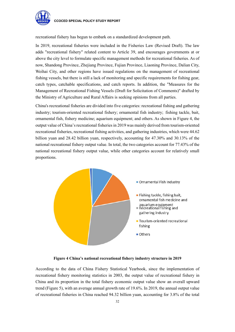

recreational fishery has begun to embark on a standardized development path.

In 2019, recreational fisheries were included in the Fisheries Law (Revised Draft). The law adds "recreational fishery" related content to Article 39, and encourages governments at or above the city level to formulate specific management methods for recreational fisheries. As of now, Shandong Province, Zhejiang Province, Fujian Province, Liaoning Province, Dalian City, Weihai City, and other regions have issued regulations on the management of recreational fishing vessels, but there is still a lack of monitoring and specific requirements for fishing gear, catch types, catchable specifications, and catch reports. In addition, the "Measures for the Management of Recreational Fishing Vessels (Draft for Solicitation of Comments)" drafted by the Ministry of Agriculture and Rural Affairs is seeking opinions from all parties.

China's recreational fisheries are divided into five categories: recreational fishing and gathering industry; tourism-oriented recreational fishery; ornamental fish industry; fishing tackle, bait, ornamental fish, fishery medicine; aquarium equipment; and others. As shown in Figure 4, the output value of China's recreational fisheries in 2019 was mainly derived from tourism-oriented recreational fisheries, recreational fishing activities, and gathering industries, which were 44.62 billion yuan and 28.42 billion yuan, respectively, accounting for 47.30% and 30.13% of the national recreational fishery output value. In total, the two categories account for 77.43% of the national recreational fishery output value, while other categories account for relatively small proportions.



**Figure 4 China's national recreational fishery industry structure in 2019** 

According to the data of China Fishery Statistical Yearbook, since the implementation of recreational fishery monitoring statistics in 2003, the output value of recreational fishery in China and its proportion in the total fishery economic output value show an overall upward trend (Figure 5), with an average annual growth rate of 19.6%. In 2019, the annual output value of recreational fisheries in China reached 94.32 billion yuan, accounting for 3.8% of the total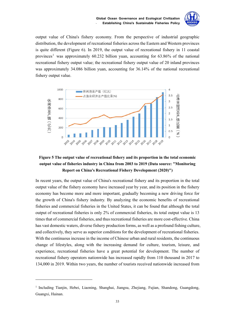

output value of China's fishery economy. From the perspective of industrial geographic distribution, the development of recreational fisheries across the Eastern and Western provinces is quite different (Figure 6). In 2019, the output value of recreational fishery in 11 coastal provinces<sup>1</sup> was approximately 60.232 billion yuan, accounting for 63.86% of the national recreational fishery output value; the recreational fishery output value of 20 inland provinces was approximately 34.086 billion yuan, accounting for 36.14% of the national recreational fishery output value.



# **Figure 5 The output value of recreational fishery and its proportion in the total economic output value of fisheries industry in China from 2003 to 2019 (Data source: "Monitoring Report on China's Recreational Fishery Development (2020)")**

In recent years, the output value of China's recreational fishery and its proportion in the total output value of the fishery economy have increased year by year, and its position in the fishery economy has become more and more important, gradually becoming a new driving force for the growth of China's fishery industry. By analyzing the economic benefits of recreational fisheries and commercial fisheries in the United States, it can be found that although the total output of recreational fisheries is only 2% of commercial fisheries, its total output value is 13 times that of commercial fisheries, and thus recreational fisheries are more cost-effective. China has vast domestic waters, diverse fishery production forms, as well as a profound fishing culture, and collectively, they serve as superior conditions for the development of recreational fisheries. With the continuous increase in the income of Chinese urban and rural residents, the continuous change of lifestyles, along with the increasing demand for culture, tourism, leisure, and experience, recreational fisheries have a great potential for development. The number of recreational fishery operators nationwide has increased rapidly from 110 thousand in 2017 to 134,000 in 2019. Within two years, the number of tourists received nationwide increased from

1

 $<sup>1</sup>$  Including Tianjin, Hebei, Liaoning, Shanghai, Jiangsu, Zheijang, Fujian, Shandong, Guangdong,</sup> Guangxi, Hainan.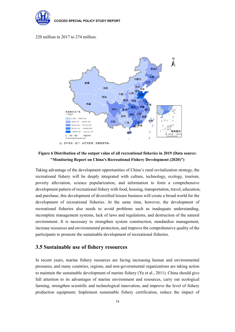

#### 220 million in 2017 to 274 million.



## **Figure 6 Distribution of the output value of all recreational fisheries in 2019 (Data source: "Monitoring Report on China's Recreational Fishery Development (2020)")**

Taking advantage of the development opportunities of China's rural revitalization strategy, the recreational fishery will be deeply integrated with culture, technology, ecology, tourism, poverty alleviation, science popularization, and information to form a comprehensive development pattern of recreational fishery with food, housing, transportation, travel, education, and purchase; this development of diversified leisure business will create a broad world for the development of recreational fisheries. At the same time, however, the development of recreational fisheries also needs to avoid problems such as inadequate understanding, incomplete management systems, lack of laws and regulations, and destruction of the natural environment. It is necessary to strengthen system construction, standardize management, increase resources and environmental protection, and improve the comprehensive quality of the participants to promote the sustainable development of recreational fisheries.

# **3.5 Sustainable use of fishery resources**

In recent years, marine fishery resources are facing increasing human and environmental pressures, and many countries, regions, and non-governmental organizations are taking action to maintain the sustainable development of marine fishery (Yu et al., 2011). China should give full attention to its advantages of marine environment and resources, carry out ecological farming, strengthen scientific and technological innovation, and improve the level of fishery production equipment; Implement sustainable fishery certification, reduce the impact of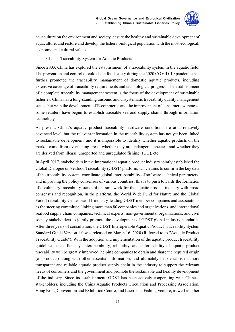

aquaculture on the environment and society, ensure the healthy and sustainable development of aquaculture, and restore and develop the fishery biological population with the most ecological, economic and cultural values.

#### (1) Traceability System for Aquatic Products

Since 2003, China has explored the establishment of a traceability system in the aquatic field. The prevention and control of cold chain food safety during the 2020 COVID-19 pandemic has further promoted the traceability management of domestic aquatic products, including extensive coverage of traceability requirements and technological progress. The establishment of a complete traceability management system is the focus of the development of sustainable fisheries. China has a long-standing unsound and unsystematic traceability quality management status, but with the development of E-commerce and the improvement of consumer awareness, some retailers have begun to establish traceable seafood supply chains through information technology.

At present, China's aquatic product traceability hardware conditions are at a relatively advanced level, but the relevant information in the traceability system has not yet been linked to sustainable development, and it is impossible to identify whether aquatic products on the market come from overfishing areas, whether they are endangered species, and whether they are derived from illegal, unreported and unregulated fishing (IUU), etc.

In April 2017, stakeholders in the international aquatic product industry jointly established the Global Dialogue on Seafood Traceability (GDST) platform, which aims to confirm the key data of the traceability system, coordinate global interoperability of software technical parameters, and improving the policy consensus of various countries; this is to push towards the formation of a voluntary traceability standard or framework for the aquatic product industry with broad consensus and recognition. In the platform, the World Wide Fund for Nature and the Global Food Traceability Center lead 11 industry-leading GDST member companies and associations as the steering committee, linking more than 80 companies and organizations, and international seafood supply chain companies, technical experts, non-governmental organizations, and civil society stakeholders to jointly promote the development of GDST global industry standards. After three years of consultation, the GDST Interoperable Aquatic Product Traceability System Standard Guide Version 1.0 was released on March 16, 2020 (Referred to as "Aquatic Product Traceability Guide"). With the adoption and implementation of the aquatic product traceability guidelines, the efficiency, interoperability, reliability, and enforceability of aquatic product traceability will be greatly improved, helping companies to obtain and share the required origin (of products) along with other essential information, and ultimately help establish a more transparent and reliable aquatic product supply chain in the industry to support the relevant needs of consumers and the government and promote the sustainable and healthy development of the industry. Since its establishment, GDST has been actively cooperating with Chinese stakeholders, including the China Aquatic Products Circulation and Processing Association, Hong Kong Convention and Exhibition Centre, and Luen Thai Fishing Venture, as well as other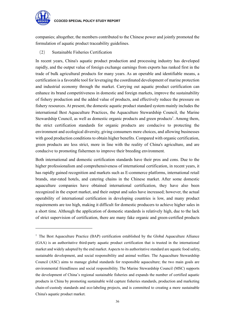

1

companies; altogether, the members contributed to the Chinese power and jointly promoted the formulation of aquatic product traceability guidelines.

(2) Sustainable Fisheries Certification

In recent years, China's aquatic product production and processing industry has developed rapidly, and the output value of foreign exchange earnings from exports has ranked first in the trade of bulk agricultural products for many years. As an operable and identifiable means, a certification is a favorable tool for leveraging the coordinated development of marine protection and industrial economy through the market. Carrying out aquatic product certification can enhance its brand competitiveness in domestic and foreign markets, improve the sustainability of fishery production and the added value of products, and effectively reduce the pressure on fishery resources. At present, the domestic aquatic product standard system mainly includes the international Best Aquaculture Practices, the Aquaculture Stewardship Council, the Marine Stewardship Council, as well as domestic organic products and green products<sup>1</sup>. Among them, the strict certification standards for organic products are conducive to protecting the environment and ecological diversity, giving consumers more choices, and allowing businesses with good production conditions to obtain higher benefits. Compared with organic certification, green products are less strict, more in line with the reality of China's agriculture, and are conducive to promoting fishermen to improve their breeding environment.

Both international and domestic certification standards have their pros and cons. Due to the higher professionalism and comprehensiveness of international certification, in recent years, it has rapidly gained recognition and markets such as E-commerce platforms, international retail brands, star-rated hotels, and catering chains in the Chinese market. After some domestic aquaculture companies have obtained international certification, they have also been recognized in the export market, and their output and sales have increased; however, the actual operability of international certification in developing countries is low, and many product requirements are too high, making it difficult for domestic producers to achieve higher sales in a short time. Although the application of domestic standards is relatively high, due to the lack of strict supervision of certification, there are many fake organic and green-certified products

<sup>&</sup>lt;sup>1</sup> The Best Aquaculture Practice (BAP) certification established by the Global Aquaculture Alliance (GAA) is an authoritative third-party aquatic product certification that is trusted in the international market and widely adopted by the end market. Aspects to its authoritative standard are aquatic food safety, sustainable development, and social responsibility and animal welfare. The Aquaculture Stewardship Council (ASC) aims to manage global standards for responsible aquaculture; the two main goals are environmental friendliness and social responsibility. The Marine Stewardship Council (MSC) supports the development of China's regional sustainable fisheries and expands the number of certified aquatic products in China by promoting sustainable wild capture fisheries standards, production and marketing chain-of-custody standards and eco-labeling projects, and is committed to creating a more sustainable China's aquatic product market.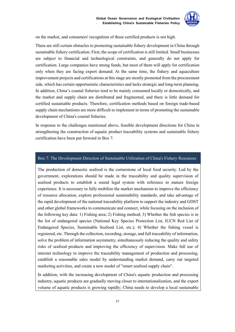

on the market, and consumers' recognition of these certified products is not high.

There are still certain obstacles to promoting sustainable fishery development in China through sustainable fishery certification. First, the scope of certification is still limited. Small businesses are subject to financial and technological constraints, and generally do not apply for certification. Large companies have strong funds, but most of them will apply for certification only when they are facing export demand. At the same time, the fishery and aquaculture improvement projects and certifications at this stage are mostly promoted from the procurement side, which has certain opportunistic characteristics and lacks strategic and long-term planning. In addition, China's coastal fisheries tend to be mainly consumed locally or domestically, and the market and supply chain are distributed and fragmented, and there is little demand for certified sustainable products. Therefore, certification methods based on foreign trade-based supply chain mechanisms are more difficult to implement in terms of promoting the sustainable development of China's coastal fisheries.

In response to the challenges mentioned above, feasible development directions for China in strengthening the construction of aquatic product traceability systems and sustainable fishery certification have been put forward in Box 7.

#### Box 7: The Development Direction of Sustainable Utilization of China's Fishery Resources

The production of domestic seafood is the cornerstone of local food security. Led by the government, explorations should be made in the traceability and quality supervision of seafood products to establish a sound legal system with reference to mature foreign experience. It is necessary to fully mobilize the market mechanism to improve the efficiency of resource allocation, explore professional sustainability standards, and take advantage of the rapid development of the national traceability platform to support the industry and GDST and other global frameworks to communicate and connect, while focusing on the inclusion of the following key data: 1) Fishing area; 2) Fishing method; 3) Whether the fish species is in the list of endangered species (National Key Species Protection List, IUCN Red List of Endangered Species, Sustainable Seafood List, etc.); 4) Whether the fishing vessel is registered, etc. Through the collection, recording, storage, and full traceability of information, solve the problem of information asymmetry, simultaneously reducing the quality and safety risks of seafood products and improving the efficiency of supervision. Make full use of internet technology to improve the traceability management of production and processing, establish a reasonable sales model by understanding market demand, carry out targeted marketing activities, and create a new model of "smart seafood supply chain".

In addition, with the increasing development of China's aquatic production and processing industry, aquatic products are gradually moving closer to internationalization, and the export volume of aquatic products is growing rapidly; China needs to develop a local sustainable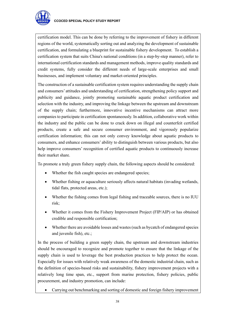

certification model. This can be done by referring to the improvement of fishery in different regions of the world, systematically sorting out and analyzing the development of sustainable certification, and formulating a blueprint for sustainable fishery development. To establish a certification system that suits China's national conditions (in a step-by-step manner), refer to international certification standards and management methods, improve quality standards and credit systems, fully consider the different needs of large-scale enterprises and small businesses, and implement voluntary and market-oriented principles.

The construction of a sustainable certification system requires understanding the supply chain and consumers' attitudes and understanding of certification, strengthening policy support and publicity and guidance, jointly promoting sustainable aquatic product certification and selection with the industry, and improving the linkage between the upstream and downstream of the supply chain; furthermore, innovative incentive mechanisms can attract more companies to participate in certification spontaneously. In addition, collaborative work within the industry and the public can be done to crack down on illegal and counterfeit certified products, create a safe and secure consumer environment, and vigorously popularize certification information; this can not only convey knowledge about aquatic products to consumers, and enhance consumers' ability to distinguish between various products, but also help improve consumers' recognition of certified aquatic products to continuously increase their market share.

To promote a truly green fishery supply chain, the following aspects should be considered:

- Whether the fish caught species are endangered species;
- Whether fishing or aquaculture seriously affects natural habitats (invading wetlands, tidal flats, protected areas, etc.);
- Whether the fishing comes from legal fishing and traceable sources, there is no IUU risk;
- Whether it comes from the Fishery Improvement Project (FIP/AIP) or has obtained credible and responsible certification;
- Whether there are avoidable losses and wastes (such as bycatch of endangered species and juvenile fish), etc.;

In the process of building a green supply chain, the upstream and downstream industries should be encouraged to recognize and promote together to ensure that the linkage of the supply chain is used to leverage the best production practices to help protect the ocean. Especially for issues with relatively weak awareness of the domestic industrial chain, such as the definition of species-based risks and sustainability, fishery improvement projects with a relatively long time span, etc., support from marine protection, fishery policies, public procurement, and industry promotion, can include:

Carrying out benchmarking and sorting of domestic and foreign fishery improvement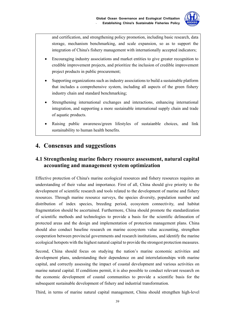

and certification, and strengthening policy promotion, including basic research, data storage, mechanism benchmarking, and scale expansion, so as to support the integration of China's fishery management with internationally accepted indicators;

- Encouraging industry associations and market entities to give greater recognition to credible improvement projects, and prioritize the inclusion of credible improvement project products in public procurement;
- Supporting organizations such as industry associations to build a sustainable platform that includes a comprehensive system, including all aspects of the green fishery industry chain and standard benchmarking;
- Strengthening international exchanges and interactions, enhancing international integration, and supporting a more sustainable international supply chain and trade of aquatic products.
- Raising public awareness/green lifestyles of sustaianble choices, and link sustainability to human health benefits.

# **4. Consensus and suggestions**

# **4.1 Strengthening marine fishery resource assessment, natural capital accounting and management system optimization**

Effective protection of China's marine ecological resources and fishery resources requires an understanding of their value and importance. First of all, China should give priority to the development of scientific research and tools related to the development of marine and fishery resources. Through marine resource surveys, the species diversity, population number and distribution of index species, breeding period, ecosystem connectivity, and habitat fragmentation should be ascertained. Furthermore, China should promote the standardization of scientific methods and technologies to provide a basis for the scientific delineation of protected areas and the design and implementation of protection management plans. China should also conduct baseline research on marine ecosystem value accounting, strengthen cooperation between provincial governments and research institutions, and identify the marine ecological hotspots with the highest natural capital to provide the strongest protection measures.

Second, China should focus on studying the nation's marine economic activities and development plans, understanding their dependence on and interrelationships with marine capital, and correctly assessing the impact of coastal development and various activities on marine natural capital. If conditions permit, it is also possible to conduct relevant research on the economic development of coastal communities to provide a scientific basis for the subsequent sustainable development of fishery and industrial transformation.

Third, in terms of marine natural capital management, China should strengthen high-level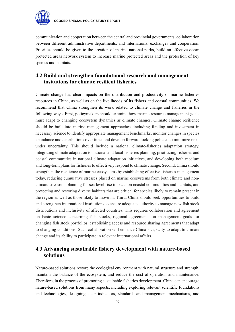

communication and cooperation between the central and provincial governments, collaboration between different administrative departments, and international exchanges and cooperation. Priorities should be given to the creation of marine national parks, build an effective ocean protected areas network system to increase marine protected areas and the protection of key species and habitats.

# **4.2 Build and strengthen foundational research and management insitutions for climate resilient fisheries**

Climate change has clear impacts on the distribution and productivity of marine fisheries resources in China, as well as on the livelihoods of its fishers and coastal communities. We recommend that China strengthen its work related to climate change and fisheries in the following ways. First, policymakers should examine how marine resource management goals must adapt to changing ecosystem dynamics as climate changes. Climate change resilience should be built into marine management approaches, including funding and investment in necessary science to identify appropriate management benchmarks, monitor changes in species abundance and distributions over time, and develop forward looking policies to minimize risks under uncertainty. This should include a national climate-fisheries adaptation strategy, integrating climate adaptation to national and local fisheries planning, priotitizing fisheries and coastal communities in national climate adaptation initiatives, and developing both medium and long-term plans for fisheries to effectively respond to climate change. Second, China should strengthen the resilience of marine ecosystems by establishing effective fisheries management today, reducing cumulative stresses placed on marine ecosystems from both climate and nonclimate stressors, planning for sea level rise impacts on coastal communities and habitats, and protecting and restoring diverse habitats that are critical for species likely to remain present in the region as well as those likely to move in. Third, China should seek opportunities to build and strengthen international institutions to ensure adequate authority to manage new fish stock distributions and inclusivity of affected countries. This requires collaboration and agreement on basic science concerning fish stocks, regional agreements on management goals for changing fish stock portfolios, establishing access and resource sharing agreements that adapt to changing conditions. Such collaboration will enhance China's capacity to adapt to climate change and its ability to participate in relevant international affairs.

# **4.3 Advancing sustainable fishery development with nature-based solutions**

Nature-based solutions restore the ecological environment with natural structure and strength, maintain the balance of the ecosystem, and reduce the cost of operation and maintenance. Therefore, in the process of promoting sustainable fisheries development, China can encourage nature-based solutions from many aspects, including exploring relevant scientific foundations and technologies, designing clear indicators, standards and management mechanisms, and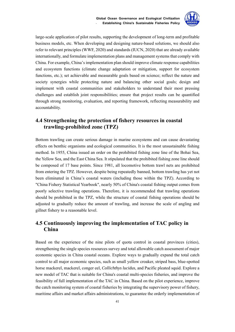

large-scale application of pilot results, supporting the development of long-term and profitable business models, etc. When developing and designing nature-based solutions, we should also refer to relevant principles (WWF, 2020) and standards (IUCN, 2020) that are already available internationally, and formulate implementation plans and management systems that comply with China. For example, China's implementation plan should improve climate response capabilities and ecosystem functions (climate change adaptation or mitigation, support for ecosystem functions, etc.); set achievable and measurable goals based on science; reflect the nature and society synergies while protecting nature and balancing other social goals; design and implement with coastal communities and stakeholders to understand their most pressing challenges and establish joint responsibilities; ensure that project results can be quantified through strong monitoring, evaluation, and reporting framework, reflecting measurability and accountability.

# **4.4 Strengthening the protection of fishery resources in coastal trawling-prohibited zone (TPZ)**

Bottom trawling can create serious damage in marine ecosystems and can cause devastating effects on benthic organisms and ecological communities. It is the most unsustainable fishing method. In 1955, China issued an order on the prohibited fishing zone line of the Bohai Sea, the Yellow Sea, and the East China Sea. It stipulated that the prohibited fishing zone line should be composed of 17 base points. Since 1981, all locomotive bottom trawl nets are prohibited from entering the TPZ. However, despite being repeatedly banned, bottom trawling has yet not been eliminated in China's coastal waters (including those within the TPZ). According to "China Fishery Statistical Yearbook", nearly 50% of China's coastal fishing output comes from poorly selective trawling operations. Therefore, it is recommended that trawling operations should be prohibited in the TPZ, while the structure of coastal fishing operations should be adjusted to gradually reduce the amount of trawling, and increase the scale of angling and gillnet fishery to a reasonable level.

# **4.5 Continuously improving the implementation of TAC policy in China**

Based on the experience of the nine pilots of quota control in coastal provinces (cities), strengthening the single species resources survey and total allowable catch assessment of major economic species in China coastal oceans. Explore ways to gradually expand the total catch control to all major economic species, such as small yellow croaker, striped bass, blue-spotted horse mackerel, mackerel, conger eel, *Collichthys lucidus*, and Pacific pleated squid. Explore a new model of TAC that is suitable for China's coastal multi-species fisheries, and improve the feasibility of full implementation of the TAC in China. Based on the pilot experience, improve the catch monitoring system of coastal fisheries by integrating the supervisory power of fishery, maritime affairs and market affairs administrations, to guarantee the orderly implementation of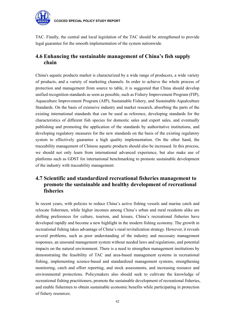

TAC. Finally, the central and local legislation of the TAC should be strengthened to provide legal guarantee for the smooth implementation of the system nationwide.

# **4.6 Enhancing the sustainable management of China's fish supply chain**

China's aquatic products market is characterized by a wide range of producers, a wide variety of products, and a variety of marketing channels. In order to achieve the whole process of protection and management from source to table, it is suggested that China should develop unified recognition standards as soon as possible, such as Fishery Improvement Program (FIP), Aquaculture Improvement Program (AIP), Sustainable Fishery, and Sustainable Aqualculture Standards. On the basis of extensive industry and market research, absorbing the parts of the existing international standards that can be used as reference, developing standards for the characteristics of different fish species for domestic sales and export sales, and eventually publishing and promoting the application of the standards by authoritative institutions, and developing regulatory measures for the new standards on the basis of the existing regulatory system to effectively guarantee a high quality implementation. On the other hand, the traceability management of Chinese aquatic products should also be increased. In this process, we should not only learn from international advanced experience, but also make use of platforms such as GDST for international benchmarking to promote sustainable development of the industry with traceability management.

# **4.7 Scientific and standardized recreational fisheries management to promote the sustainable and healthy development of recreational fisheries**

In recent years, with policies to reduce China's active fishing vessels and marine catch and relocate fishermen, while higher incomes among China's urban and rural residents alike are shifting preferences for culture, tourism, and leisure, China's recreational fisheries have developed rapidly and become a new highlight in the modern fishing economy. The growth in recreational fishing takes advantage of China's rural revitalization strategy. However, it reveals several problems, such as poor understanding of the industry and necessary management responses, an unsound management system without needed laws and regulations, and potential impacts on the natural environment. There is a need to strengthen management institutions by demonstrating the feasibility of TAC and area-based management systems in recreational fishing, implementing science-based and standardized management systems, strengthening monitoring, catch and effort reporting, and stock assessments, and increasing resource and environmental protections. Policymakers also should seek to cultivate the knowledge of recreational fishing practitioners, promote the sustainable development of recreational fisheries, and enable fishermen to obtain sustainable economic benefits while participating in protection of fishery resources.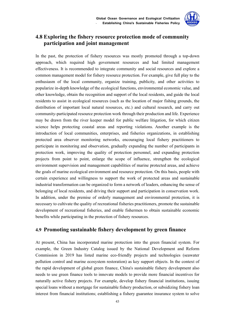

# **4.8 Exploring the fishery resource protection mode of community participation and joint management**

In the past, the protection of fishery resources was mostly promoted through a top-down approach, which required high government resources and had limited management effectiveness. It is recommended to integrate community and social resources and explore a common management model for fishery resource protection. For example, give full play to the enthusiasm of the local community, organize training, publicity, and other activities to popularize in-depth knowledge of the ecological functions, environmental economic value, and other knowledge, obtain the recognition and support of the local residents, and guide the local residents to assist in ecological resources (such as the location of major fishing grounds, the distribution of important local natural resources, etc.) and cultural research, and carry out community-participated resource protection work through their production and life. Experience may be drawn from the river keeper model for public welfare litigation, for which citizen science helps protecting coastal areas and reporting violations. Another example is the introduction of local communities, enterprises, and fisheries organizations, in establishing protected area observer monitoring networks, encouraging local fishery practitioners to participate in monitoring and observation, gradually expanding the number of participants in protection work, improving the quality of protection personnel, and expanding protection projects from point to point, enlarge the scope of influence, strengthen the ecological environment supervision and management capabilities of marine protected areas, and achieve the goals of marine ecological environment and resource protection. On this basis, people with certain experience and willingness to support the work of protected areas and sustainable industrial transformation can be organized to form a network of leaders, enhancing the sense of belonging of local residents, and driving their support and participation in conservation work. In addition, under the premise of orderly management and environmental protection, it is necessary to cultivate the quality of recreational fisheries practitioners, promote the sustainable development of recreational fisheries, and enable fishermen to obtain sustainable economic benefits while participating in the protection of fishery resources.

## **4.9 Promoting sustainable fishery development by green finance**

At present, China has incorporated marine protection into the green financial system. For example, the Green Industry Catalog issued by the National Development and Reform Commission in 2019 has listed marine eco-friendly projects and technologies (seawater pollution control and marine ecosystem restoration) as key support objects. In the context of the rapid development of global green finance, China's sustainable fishery development also needs to use green finance tools to innovate models to provide more financial incentives for naturally active fishery projects. For example, develop fishery financial institutions, issuing special loans without a mortgage for sustainable fishery production, or subsidizing fishery loan interest from financial institutions; establishing a fishery guarantee insurance system to solve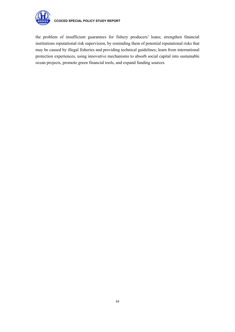

the problem of insufficient guarantees for fishery producers' loans; strengthen financial institutions reputational risk supervision, by reminding them of potential reputational risks that may be caused by illegal fisheries and providing technical guidelines; learn from international protection experiences, using innovative mechanisms to absorb social capital into sustainable ocean projects, promote green financial tools, and expand funding sources.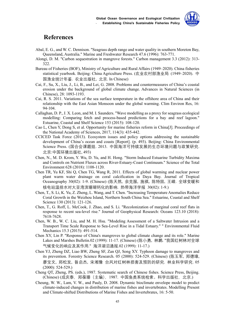

# **References**

- Abal, E. G., and W. C. Dennison. "Seagrass depth range and water quality in southern Moreton Bay, Queensland, Australia." Marine and Freshwater Research 47.6 (1996): 763-771.
- Alongi, D. M. "Carbon sequestration in mangrove forests." Carbon management 3.3 (2012): 313- 322.
- Bureau of Fisheries (BOF), Ministry of Agriculture and Rural Affairs (1949–2020). China fisheries statistical yearbook. Beijing: China Agriculture Press. (农业农村部渔业局 (1949–2020). 中 国渔业统计年鉴. 农业出版社, 北京. In Chinese)
- Cai, F., Su, X., Liu, J., Li, B., and Lei, G. 2008. Problems and countermeasures of China's coastal erosion under the background of global climate change. Advances in Natural Sciences (in Chinese), 28: 1093-1193.
- Cai, R. S. 2011. Variations of the sea surface temperature in the offshore area of China and their relationship with the East Asian Monsoon under the global warming. Clim Environ Res, 16: 94-104.
- Callaghan, D. P., J. X. Leon, and M. I. Saunders. "Wave modelling as a proxy for seagrass ecological modelling: Comparing fetch and process-based predictions for a bay and reef lagoon." Estuarine, Coastal and Shelf Science 153 (2015): 108-120.
- Cao L, Chen Y, Dong S, et al. Opportunity for marine fisheries reform in China[J]. Proceedings of the National Academy of Sciences, 2017, 114(3): 435-442.
- CCICED Task Force (2013). Ecosystem issues and policy options addressing the sustainable development of China's ocean and coasts [Report]. (p. 493). Beijing: China Environmental Science Press. (国合会课题组. 2013. 中国海洋可持续发展的生态环境问题与政策研究. 北京:中国环境出版社, 493)
- Chen, N., M. D. Krom, Y. Wu, D. Yu, and H. Hong. "Storm Induced Estuarine Turbidity Maxima and Controls on Nutrient Fluxes across River-Estuary-Coast Continuum." Science of the Total Environment 628 (2018): 1108-1120.
- Chen TR, Yu KF, Shi Q, Chen TG, Wang R, 2011. Effects of global warming and nuclear power plant warm water drainage on coral calcification in Daya Bay. Journal of Tropical Oceanography 30(02): 1-9. (Chinese) (陈天然, 余克服, 施祺, 陈特固, 王嵘. 全球变暖和 核电站温排水对大亚湾滨珊瑚钙化的影响. 热带海洋学报 30(02): 1-9.)
- Chen, T., S. Li, K. Yu, Z. Zheng, L. Wang, and T. Chen. "Increasing Temperature Anomalies Reduce Coral Growth in the Weizhou Island, Northern South China Sea." Estuarine, Coastal and Shelf Science 130 (2013): 121-126.
- Chen, T., G. Roff, L. McCook, J. Zhao, and S. Li. "Recolonization of marginal coral reef flats in response to recent sea‐level rise." Journal of Geophysical Research: Oceans 123.10 (2018): 7618-7628.
- Chen, W. B., W. C. Liu, and M. H. Hsu. "Modeling Assessment of a Saltwater Intrusion and a Transport Time Scale Response to Sea-Level Rise in a Tidal Estuary." " Environmental Fluid Mechanics 15.3 (2015): 491-514.
- Chen XY, Lin P. "Response of China's mangroves to global climate change and its role." Marine Lakes and Marshes Bulletin.02 (1999): 11-17. (Chinese) (陈小勇, 林鹏. "我国红树林对全球 气候变化的响应及其作用." 海洋湖沼通报.02 (1999): 11-17.)
- Chen YJ, Zheng DZ, Liao BW, Zheng SF, Zan QJ, Song XY. Typhoon damage to mangroves and its prevention. Forestry Science Research. 05 (2000): 524-529. (Chinese) (陈玉军, 郑德璋, 廖宝文, 郑松发, 昝启杰, 宋湘豫 台风对红树林损害及预防的研究. 林业科学研究. 05 (2000): 524-529.)
- Cheng QT, Zheng, PS. (eds.), 1987. Systematic search of Chinese fishes. Science Press, Beijing. (Chinese) (成庆泰,郑葆珊(主编),1987. 中国鱼类系统检索。科学出版社,北京.)
- Cheung, W. W., Lam, V. W., and Pauly, D. 2008. Dynamic bioclimate envelope model to predict climate-induced changes in distribution of marine fishes and invertebrates. Modelling Present and Climate-shifted Distributions of Marine Fishes and Invertebrates, 16: 5-50.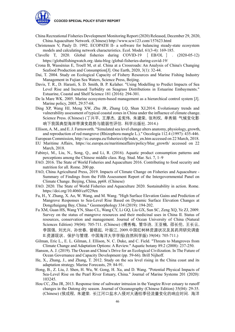

- China Recreational Fisheries Development Monitoring Report (2020) Released, December 29, 2020, China Aquaculture Network. (Chinese) http://www.scw123.com/157623.html
- Christensen V, Pauly D. 1992. ECOPATH II- a software for balancing steady-state ecosystem models and calculating network characteristics. Ecol. Model. 61(3-4): 169-185.
- Clavelle T, 2020. Global fisheries during COVID-19 [ EB/OL ]. (2020-05-12) https://globalfishingwatch.org /data-blog /global-fisheries-during-covid-19/
- Crona B, Wassénius E, Troell M, et al. China at a Crossroads: An Analysis of China's Changing Seafood Production and Consumption[J]. One Earth, 2020, 3(1): 32-44.
- Dai, T. 2004. Study on Ecological Capacity of Fishery Resources and Marine Fishing Industry Management in Fujian Sea Waters, Science Press, Beijing.
- Davis, T. R., D. Harasti, S. D. Smith, B. P. Kelaher. "Using Modelling to Predict Impacts of Sea Level Rise and Increased Turbidity on Seagrass Distributions in Estuarine Embayments." Estuarine, Coastal and Shelf Science 181 (2016): 294-301.
- De la Mare WK. 2005. Marine ecosystem-based management as a hierarchical control system [J]. Marine policy, 2005, 29:57-68.
- Ding XP, Wang HJ, Meng XW, Zhu JR, Zhang LQ, Shan XJ,2014. Evolutionary trends and vulnerability assessment of typical coastal zones in China under the influence of climate change. Science Press. (Chinese) (丁兴平, 王厚杰, 孟宪伟, 朱建荣, 张利权, 单秀娟 气候变化影 响下我国典型海岸带演变趋势与脆弱性评估. 科学出版社. 2014.)
- Ellison, A. M., and E. J. Farnsworth. "Simulated sea level change alters anatomy, physiology, growth, and reproduction of red mangrove (Rhizophora mangle L.)." Oecologia 112.4 (1997): 435-446.
- European Commission, http://ec.europa.eu/fisheries/cfp/index\_en.htm accessed on 22 March, 2018.
- EU Maritime Affairs, https://ec.europa.eu/maritimeaffairs/policy/blue\_growth/ accessed on 22 March, 2018.
- Fabinyi, M., Liu, N., Song, Q., and Li, R. (2016). Aquatic product consumption patterns and perceptions among the Chinese middle class. Reg. Stud. Mar. Sci. 7, 1–9
- FAO. 2016. The State of World Fisheries and Aquaculture 2016. Contributing to food security and nutrition for all. Rome. 200 pp.
- FAO, China Agricultural Press, 2019. Impacts of Climate Change on Fisheries and Aquaculture Summary of Findings from the Fifth Assessment Report of the Intergovernmental Panel on Climate Change. Beijing, China, pp68. (Chinese)
- FAO. 2020. The State of World Fisheries and Aquaculture 2020. Sustainability in action. Rome. https://doi.org/10.4060/ca9229en
- Fu, H., Y. Zhang, X. Ao, W. Wang, and M. Wang. "High Surface Elevation Gains and Prediction of Mangrove Responses to Sea-Level Rise Based on Dynamic Surface Elevation Changes at Dongzhaigang Bay, China." Geomorphology 334 (2019): 194-202.
- Fu XM, Guan HS, Wang YN, Shao CL, Wang CY, Li GQ, Liu GX, Sun SC, Zeng XQ, Ye ZJ, 2009. Survey on the status of mangrove resources and their medicinal uses in China Ⅱ. Status of resources, conservation and management. Journal of Ocean University of China (Natural Sciences Edition) 39(04): 705-711. (Chinese) (傅秀梅, 管华诗, 王亚楠, 邵长伦, 王长云, 李国强, 刘光兴, 孙世春, 曾晓起, 叶振江, 2009.中国红树林资源状况及其药用研究调查 Ⅱ.资源现状、保护与管理. 中国海洋大学学报(自然科学版) 39(04): 705-711.)
- Gilman, Eric L., E. L. Gilman, J. Ellison, N. C. Duke, and C. Field. "Threats to Mangroves from Climate Change and Adaptation Options: A Review." Aquatic botany 89.2 (2008): 237-250.
- Hanson, A. J. (2019). The Ocean and China's Drive for an Ecological Civilization. In The Future of Ocean Governance and Capacity Development (pp. 59-66). Brill Nijhoff.
- He, X., Zhang, J., and Zhang, T. 2012. Study on the sea level rising in the China coast and its adaptation strategy. Marine Forecasts, 29: 84-91.
- Hong, B., Z. Liu, J. Shen, H. Wu, W. Gong, H. Xu, and D. Wang. "Potential Physical Impacts of Sea-Level Rise on the Pearl River Estuary, China." Journal of Marine Systems 201 (2020): 103245.
- Hou CC, Zhu JR, 2013. Response time of saltwater intrusion in the Yangtze River estuary to runoff changes in the Datong dry season. Journal of Oceanography (Chinese Edition) 35(04): 29-35. (Chinese) (侯成程, 朱建荣. 长江河口盐水入侵对大通枯季径流量变化的响应时间. 海洋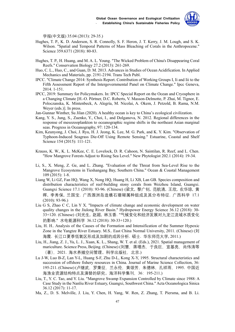

学报(中文版) 35.04 (2013): 29-35.)

- Hughes, T. P., K. D. Anderson, S. R. Connolly, S. F. Heron, J. T. Kerry, J. M. Lough, and S. K. Wilson. "Spatial and Temporal Patterns of Mass Bleaching of Corals in the Anthropocene." Science 359.6371 (2018): 80-83.
- Hughes, T. P., H. Huang, and M. A. L. Young. "The Wicked Problem of China's Disappearing Coral Reefs." Conservation Biology 27.2 (2013): 261-269.
- Huo, C. L., Huo, C., and Guan, D. M. 2013. Advances in Studies of Ocean Acidification. In Applied Mechanics and Materials, pp. 2191-2194. Trans Tech Publ.
- IPCC. "Climate Change 2014: Synthesis Report. Contribution of Working Groups I, Ii and Iii to the Fifth Assessment Report of the Intergovernmental Panel on Climate Change." Ipcc Geneva, 2014. 1-151.
- IPCC, 2019: Summary for Policymakers. In: IPCC Special Report on the Ocean and Cryosphere in a Changing Climate [H.-O. Pörtner, D.C. Roberts, V. Masson-Delmotte, P. Zhai, M. Tignor, E. Poloczanska, K. Mintenbeck, A. Alegría, M. Nicolai, A. Okem, J. Petzold, B. Rama, N.M. Weyer (eds.)]. In press.
- Jan-Gunnar Winther, Su Jilan (2020). A healthy ocean is key to China's ecological civilization.
- Kang, Y. S., Jung, S., Zuenko, Y., Choi, I., and Dolganova, N. 2012. Regional differences in the response of mesozooplankton to oceanographic regime shifts in the northeast Asian marginal seas. Progress in Oceanography, 97: 120-134.
- Kim, Keunyong, J. Choi, J. Ryu, H. J. Jeong, K. Lee, M. G. Park, and K. Y. Kim. "Observation of Typhoon-Induced Seagrass Die-Off Using Remote Sensing." Estuarine, Coastal and Shelf Science 154 (2015): 111-121.
- Krauss, K. W., K. L. McKee, C. E. Lovelock, D. R. Cahoon, N. Saintilan, R. Reef, and L. Chen. "How Mangrove Forests Adjust to Rising Sea Level." New Phytologist 202.1 (2014): 19-34.
- Li, S., X. Meng, Z. Ge, and L. Zhang. "Evaluation of the Threat from Sea-Level Rise to the Mangrove Ecosystems in Tieshangang Bay, Southern China." Ocean & Coastal Management 109 (2015): 1-8.
- Liang W, Li GZ, Fan HQ, Wang X, Nong HQ, Huang H, Li XB, Lan GB. Species composition and distribution characteristics of reef-building stony corals from Weizhou Island, Guangxi. Guangxi Science 17.1 (2010): 93-96. (Chinese) (梁文, 黎广钊, 范航清, 王欣, 农华琼, 黄 晖, 李秀保, 兰国宝. 广西涠洲岛造礁石珊瑚属种组成及其分布特征. 广西科学 17.1 (2010): 93-96.)
- Liu G S, Zhao C C, Lin Y X. "Impacts of climate change and economic development on water quality changes in the Jiulong River Basin." Hydropower Energy Science 36.12 (2018): 30- 33+120. (Chinese) (刘光生, 赵超, 林玉香. "气候变化和经济发展对九龙江流域水质变化 的影响." 水电能源科学 36.12 (2018): 30-33+120.)
- Liu, H. H.. Analysis of the Causes of the Formation and Intensification of the Summer Hypoxic Zone in the Yangtze River Estuary. M.S.. East China Normal University, 2011. (Chinese) (刘 海霞. 长江口夏季低氧区形成及加剧的成因分析. 硕士. 华东师范大学, 2011.)
- Liu, H., Jiang, Z. J., Yu, L. J., Xuan, K. L., Shang, W. T. et al. (Eds.), 2021. Spatial management of mariculture. Science Press, Beijing. (Chinese) (刘慧,蒋增杰,于良巨,宣基亮,尚伟涛等 (著),2021. 海水养殖空间管理。科学出版社,北京.)
- Lu J-W, Luo B-Z, Lan Y-L, Huang S-F, Zhu D-L, Kong X-Y, 1995. Structural characteristics and succession of offshore fishery resources in China. Journal of Marine Science Collection, 36: 195-211. (Chinese) (卢继武,罗秉征,兰永伦,黄颂芳,朱德林,孔祥雨,1995. 中国近 海渔业资源结构特点及演替的研究。海洋科学集刊,36:195-211.)
- Liu, T., Y. C. Tao, and Y. Liu. "Mangrove Swamp Expansion Controlled by Climate since 1988: A Case Study in the Nanliu River Estuary, Guangxi, Southwest China." Acta Oceanologica Sinica 36.12 (2017): 11-17.
- Ma, Z., D. S. Melville, J. Liu, Y. Chen, H. Yang, W. Ren, Z. Zhang, T. Piersma, and B. Li.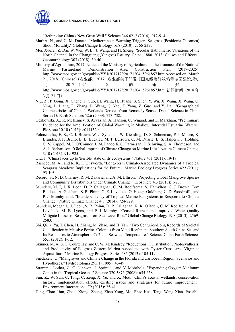"Rethinking China's New Great Wall." Science 346.6212 (2014): 912-914.

- MarbÀ, N., and C. M. Duarte. "Mediterranean Warming Triggers Seagrass (Posidonia Oceanica) Shoot Mortality." Global Change Biology 16.8 (2010): 2366-2375.
- Mei, Xuefei, Z. Dai, W. Wei, W. Li, J. Wang, and H. Sheng. "Secular Bathymetric Variations of the North Channel in the Changjiang (Yangtze) Estuary, China, 1880–2013: Causes and Effects." Geomorphology 303 (2018): 30-40.
- Ministry of Agriculture, 2017. Notice of the Ministry of Agriculture on the issuance of the National Marine Pastureland Demonstration Area Construction Plan (2017-2025). http://www.moa.gov.cn/govpublic/YYJ/201712/t20171204\_5961857.htm Accessed on. March 21, 2018. (Chinese) (农业部,2017. 农业部关于印发《国家级海洋牧场示范区建设规划  $($  2017—2025 》 的 通 知 http://www.moa.gov.cn/govpublic/YYJ/201712/t20171204\_5961857.htm 访问时间:2018年

3 月 21 日)

- Niu, Z., P. Gong, X. Cheng, J. Guo, LI. Wang, H. Huang, S. Shen, Y. Wu, X. Wang, X. Wang, Q. Ying, L. Liang, L. Zhang, L. Wang, Q. Yao, Z. Yang, Z. Guo, and Y. Dai. "Geographical Characteristics of China's Wetlands Derived from Remotely Sensed Data." Science in China Series D: Earth Sciences 52.6 (2009): 723-738.
- Oczkowski, A., R. McKinney, S. Ayvazian, A. Hanson, C. Wigand, and E. Markham. "Preliminary Evidence for the Amplification of Global Warming in Shallow, Intertidal Estuarine Waters." PloS one 10.10 (2015): e0141529.
- Poloczanska, E. S., C. J. Brown, W. J. Sydeman, W. Kiessling, D. S. Schoeman, P. J. Moore, K. Brander, J. F. Bruno, L. B. Buckley, M. T. Burrows, C. M. Duarte, B. S. Halpern, J. Holding, C. V. Kappel, M. I. O'Connor, J. M. Pandolfi, C. Parmesan, F. Schwing, S. A. Thompson, and A. J. Richardson. "Global Imprint of Climate Change on Marine Life." Nature Climate Change 3.10 (2013): 919-925.
- Qiu, J. "China faces up to 'terrible' state of its ecosystems." Nature 471 (2011): 19-19.
- Rasheed, M. A., and R. K. F. Unsworth. "Long-Term Climate-Associated Dynamics of a Tropical Seagrass Meadow: Implications for the Future." Marine Ecology Progress Series 422 (2011): 93-103.
- Record, S., N. D. Charney, R. M. Zakaria, and A. M. Ellison. "Projecting Global Mangrove Species and Community Distributions under Climate Change." Ecosphere 4.3 (2013): 1-23.
- Saunders, M. I, J. X. Leon, D. P. Callaghan, C. M. Roelfsema, S. Hamylton, C. J. Brown, Tom Baldock, A. Golshani, S. R. Phinn, C. E. Lovelock, O. Hoegh-Guldberg, C. D. Woodroffe, and P. J. Mumby et al. "Interdependency of Tropical Marine Ecosystems in Response to Climate Change." Nature Climate Change 4.8 (2014): 724-729.
- Saunders, Megan I., J. Leon, S. R. Phinn, D. P. Callaghan, K. R. O'Brien, C. M. Roelfsema, C. E. Lovelock, M. B. Lyons, and P. J. Mumby. "Coastal Retreat and Improved Water Quality Mitigate Losses of Seagrass from Sea Level Rise." Global Change Biology 19.8 (2013): 2569- 2583.
- Shi, Qi, k. Yu, T. Chen, H. Zhang, M. Zhao, and H. Yan. "Two Centuries-Long Records of Skeletal Calcification in Massive Porites Colonies from Meiji Reef in the Southern South China Sea and Its Responses to Atmospheric Co2 and Seawater Temperature." Science China Earth Sciences 55.1 (2012): 1-12.
- Skinner, M. A, S. C. Courtenay, and C. W. McKindsey. "Reductions in Distribution, Photosynthesis, and Productivity of Eelgrass Zostera Marina Associated with Oyster Crassostrea Virginica Aquaculture." Marine Ecology Progress Series 486 (2013): 105-119.
- Snedaker, . C. "Mangroves and Climate Change in the Florida and Caribbean Region: Scenarios and Hypotheses." Hydrobiologia 295.1 (1995): 43-49.
- Stramma, Lothar, G. C. Johnson, J. Sprintall, and V. Mohrholz. "Expanding Oxygen-Minimum Zones in the Tropical Oceans." Science 320.5876 (2008): 655-658.
- Sun, Z., W. Sun, C. Tong, C. Zeng, X. Yu, and X. Mou. "China's coastal wetlands: conservation history, implementation efforts, existing issues and strategies for future improvement." Environment International 79 (2015): 25-41.
- Tang, Chao-Lian, Zhou, Xiong, Zheng, Zhao-Yong, Mo, Shao-Hua, Tang, Wang-Xian. Possible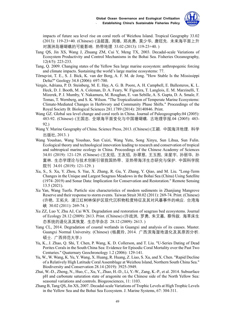

impacts of future sea level rise on coral reefs of Weizhou Island. Tropical Geography 33.02 (2013): 119-23+40. (Chinese) (汤超莲, 周雄, 郑兆勇, 莫少华, 唐旺先. 未来海平面上升 对涠洲岛珊瑚礁的可能影响. 热带地理 33.02 (2013): 119-23+40. )

- Tang QS, Jin XS, Wang J, Zhuang ZM, Cui Y, Meng TX, 2003. Decadal-scale Variations of Ecosystem Productivity and Control Mechanisms in the Bohai Sea. Fisheries Oceanography, 12(4/5): 223-233.
- Tang, Q. 2009. Changing states of the Yellow Sea large marine ecosystem: anthropogenic forcing and climate impacts. Sustaining the world's large marine ecosystems: 77.
- Törnqvist, T. E., S. J. Bick, K. van der Borg, A. F. M. de Jong. "How Stable Is the Mississippi Delta?" Geology 34.8 (2006): 697-700.
- Vergés, Adriana, P. D. Steinberg, M. E. Hay, A. G. B. Poore, A. H. Campbell, E. Ballesteros, K. L. Heck, D. J. Booth, M. A. Coleman, D. A. Feary, W. Figueira, T. Langlois, E. M. Marzinelli, T. Mizerek, P. J. Mumby, Y. Nakamura, M. Roughan, E. van Sebille, A. S. Gupta, D. A. Smale, F. Tomas, T. Wernberg, and S. K. Wilson. "The Tropicalization of Temperate Marine Ecosystems: Climate-Mediated Changes in Herbivory and Community Phase Shifts." Proceedings of the Royal Society B: Biological Sciences 281.1789 (2014): 20140846. Print.
- Wang GZ. Global sea level change and coral reefs in China. Journal of Paleogeography.04 (2005): 483-92. (Chinese) (王国忠. 全球海平面变化与中国珊瑚礁. 古地理学报.04 (2005): 483- 92.)
- Wang Y. Marine Geography of China. Science Press, 2013. (Chinese) (王颖. 中国海洋地理. 科学 出版社, 2013. )
- Wang Youshao, Wang Youshao, Sun Cuizi, Wang Yutu, Song Xinyu, Sun Lihua, Sun Fulin. Ecological theory and technological innovation leading to research and conservation of tropical and subtropical marine ecology in China. Proceedings of the Chinese Academy of Sciences 34.01 (2019): 121-129. (Chinese) (王友绍, 王友绍, 孙翠慈, 王玉图, 宋星宇, 孙丽华, 孙 富林. 生态学理论与技术创新引领我国热带、亚热带海洋生态研究与保护. 中国科学院 院刊 34.01 (2019): 121-129. )
- Xu, S., S. Xu, Y. Zhou, S. Yue, X. Zhang, R. Gu, Y. Zhang, Y. Qiao, and M. Liu. "Long-Term Changes in the Unique and Largest Seagrass Meadows in the Bohai Sea (China) Using Satellite (1974–2019) and Sonar Data: Implication for Conservation and Restoration." Remote Sensing 13.5 (2021).
- Xu Yan, Wang Tuofu. Particle size characteristics of modern sediments in Zhanjiang Mangrove Reserve and their response to storm events. Taiwan Strait 30.02 (2011): 269-74. Print. (Chinese) (许艳, 王拓夫. 湛江红树林保护区现代沉积物粒度特征及其对风暴事件的响应. 台湾海 峡 30.02 (2011): 269-74.)
- Xu ZZ, Luo Y, Zhu AJ, Cai WX. Degradation and restoration of seagrass bed ecosystems. Journal of Ecology 28.12 (2009): 2613. Print. (Chinese) (许战洲, 罗勇, 朱艾嘉, 蔡伟叙. 海草床生 态系统的退化及其恢复. 生态学杂志 28.12 (2009): 2613. )
- Yang CL, 2014. Degradation of coastal wetlands in Guangxi and analysis of its causes. Master. Guangxi Normal University. (Chinese) (杨晨玲, 2014. 广西滨海湿地退化及其原因分析. 硕士. 广西师范大学.)
- Yu, K., J. Zhao, Q. Shi, T. Chen, P. Wang, K. D. Collerson, and T. Liu. "U-Series Dating of Dead Porites Corals in the South China Sea: Evidence for Episodic Coral Mortality over the Past Two Centuries." Quaternary Geochronology 1.2 (2006): 129-141.
- Yu, W., W. Wang, K. Yu, Y. Wang, X. Huang, R. Huang, Z. Liao, S. Xu, and X. Chen. "Rapid Decline of a Relatively High Latitude Coral Assemblage at Weizhou Island, Northern South China Sea." Biodiversity and Conservation 28.14 (2019): 3925-3949.
- Zhai, W.-D., Zheng, N., Huo, C., Xu, Y., Zhao, H.-D., Li, Y.-W., Zang, K.-P., et al. 2014. Subsurface pH and carbonate saturation state of aragonite on the Chinese side of the North Yellow Sea: seasonal variations and controls. Biogeosciences, 11: 1103.
- Zhang B, Tang QS, Jin XS, 2007. Decadal-scale Variations of Trophic Levels at High Trophic Levels in the Yellow Sea and the Bohai Sea Ecosystem. J. Marine Systems, 67: 304-311.